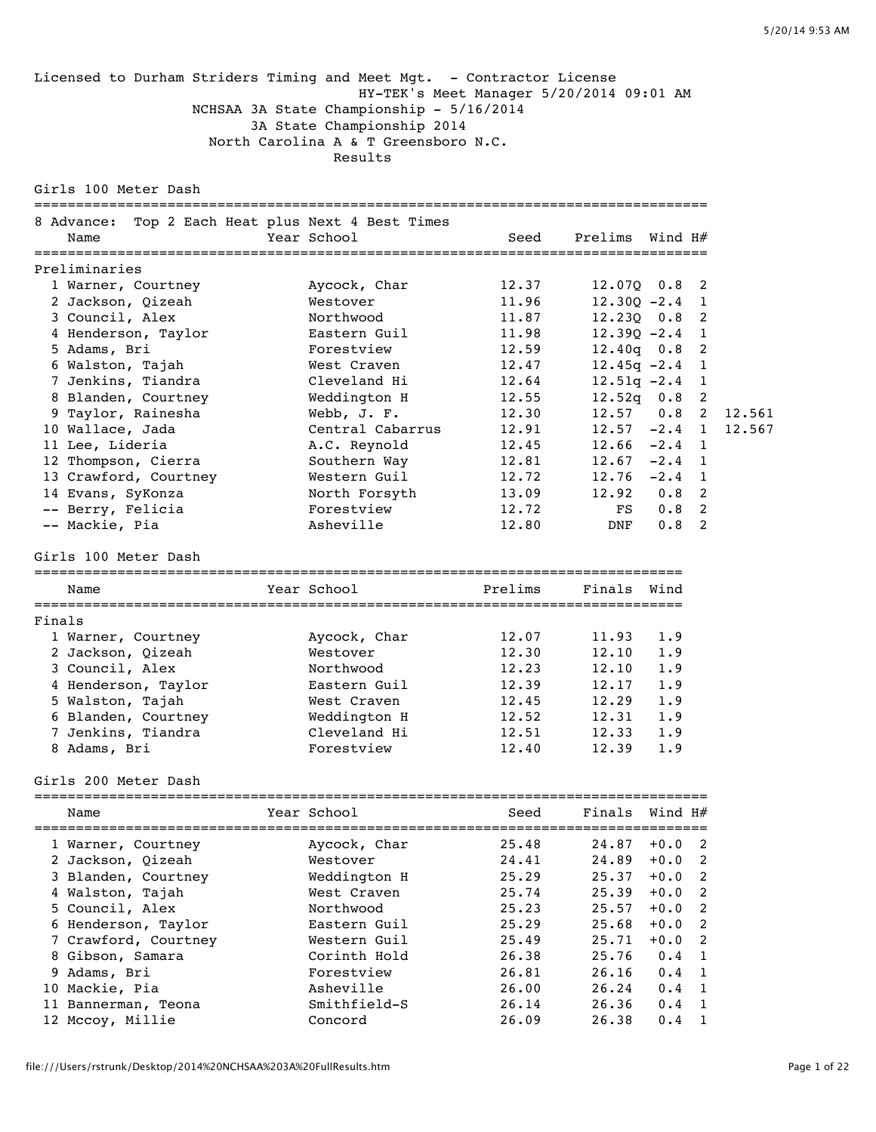Licensed to Durham Striders Timing and Meet Mgt. - Contractor License HY-TEK's Meet Manager 5/20/2014 09:01 AM NCHSAA 3A State Championship - 5/16/2014 3A State Championship 2014 North Carolina A & T Greensboro N.C. Results

Girls 100 Meter Dash

|                                        |  | 8 Advance: Top 2 Each Heat plus Next 4 Best Times |       |                    |                  |    |        |
|----------------------------------------|--|---------------------------------------------------|-------|--------------------|------------------|----|--------|
| Name                                   |  | Year School                                       | Seed  | Prelims Wind H#    |                  |    |        |
| =====================<br>Preliminaries |  |                                                   |       |                    |                  |    |        |
| 1 Warner, Courtney                     |  | Aycock, Char                                      | 12.37 | $12.070$ $0.8$ 2   |                  |    |        |
| 2 Jackson, Oizeah                      |  | Westover                                          | 11.96 | $12.300 - 2.4$ 1   |                  |    |        |
| 3 Council, Alex                        |  | Northwood                                         | 11.87 | $12.230$ $0.8$ 2   |                  |    |        |
| 4 Henderson, Taylor                    |  | Eastern Guil                                      | 11.98 | $12.390 - 2.4$ 1   |                  |    |        |
| 5 Adams, Bri                           |  | Forestview                                        | 12.59 | $12.40q$ 0.8 2     |                  |    |        |
| 6 Walston, Tajah                       |  | West Craven                                       | 12.47 | $12.45q - 2.4$ 1   |                  |    |        |
| 7 Jenkins, Tiandra                     |  | Cleveland Hi                                      | 12.64 | $12.51q - 2.4$ 1   |                  |    |        |
| 8 Blanden, Courtney                    |  | Weddington H                                      | 12.55 | $12.52q$ 0.8 2     |                  |    |        |
| 9 Taylor, Rainesha                     |  | Webb, J. F.                                       | 12.30 | 12.57 0.8 2 12.561 |                  |    |        |
| 10 Wallace, Jada                       |  | Central Cabarrus                                  | 12.91 | $12.57 - 2.4$ 1    |                  |    | 12.567 |
| 11 Lee, Lideria                        |  | A.C. Reynold                                      | 12.45 | $12.66 -2.4$ 1     |                  |    |        |
| 12 Thompson, Cierra                    |  | Southern Way                                      | 12.81 | $12.67 - 2.4$ 1    |                  |    |        |
| 13 Crawford, Courtney                  |  | Western Guil                                      | 12.72 | $12.76 -2.4$ 1     |                  |    |        |
| 14 Evans, SyKonza                      |  | North Forsyth                                     | 13.09 | $12.92$ 0.8 2      |                  |    |        |
| -- Berry, Felicia                      |  | Forestview                                        | 12.72 | FS                 | 0.8 <sub>2</sub> |    |        |
| -- Mackie, Pia                         |  | Asheville                                         | 12.80 | DNF                | 0.8              | -2 |        |

Girls 100 Meter Dash

============================================================================== Name Year School Prelims Finals Wind ============================================================================== Finals<br>1 Warner, Courtney<br>2 Jackson, Qizeah<br>3 Council, Alex 1 Warner, Courtney Aycock, Char 12.07 11.93 1.9 2 Jackson, Qizeah Westover 12.30 12.10 1.9 3 Council, Alex Northwood 12.23 12.10 1.9 4 Henderson, Taylor Eastern Guil 12.39 12.17 1.9 5 Walston, Tajah West Craven 12.45 12.29 1.9 6 Blanden, Courtney Weddington H 12.52 12.31 1.9 7 Jenkins, Tiandra Cleveland Hi 12.51 12.33 1.9 8 Adams, Bri Forestview 12.40 12.39 1.9

Girls 200 Meter Dash

| Name                 | Year School  | Seed  | Finals | Wind H# |                |
|----------------------|--------------|-------|--------|---------|----------------|
| 1 Warner, Courtney   | Aycock, Char | 25.48 | 24.87  | $+0.0$  | - 2            |
| 2 Jackson, Oizeah    | Westover     | 24.41 | 24.89  | $+0.0$  | -2             |
| 3 Blanden, Courtney  | Weddington H | 25.29 | 25.37  | $+0.0$  | -2             |
| 4 Walston, Tajah     | West Craven  | 25.74 | 25.39  | $+0.0$  | -2             |
| 5 Council, Alex      | Northwood    | 25.23 | 25.57  | $+0.0$  | $\mathcal{P}$  |
| 6 Henderson, Taylor  | Eastern Guil | 25.29 | 25.68  | $+0.0$  | $\overline{2}$ |
| 7 Crawford, Courtney | Western Guil | 25.49 | 25.71  | $+0.0$  | $\mathcal{P}$  |
| 8 Gibson, Samara     | Corinth Hold | 26.38 | 25.76  | 0.4     | $\overline{1}$ |
| 9 Adams, Bri         | Forestview   | 26.81 | 26.16  | 0.4     | $\overline{1}$ |
| 10 Mackie, Pia       | Asheville    | 26.00 | 26.24  | 0.4     | $\overline{1}$ |
| 11 Bannerman, Teona  | Smithfield-S | 26.14 | 26.36  | 0.4     | -1             |
| 12 Mccoy, Millie     | Concord      | 26.09 | 26.38  | 0.4     |                |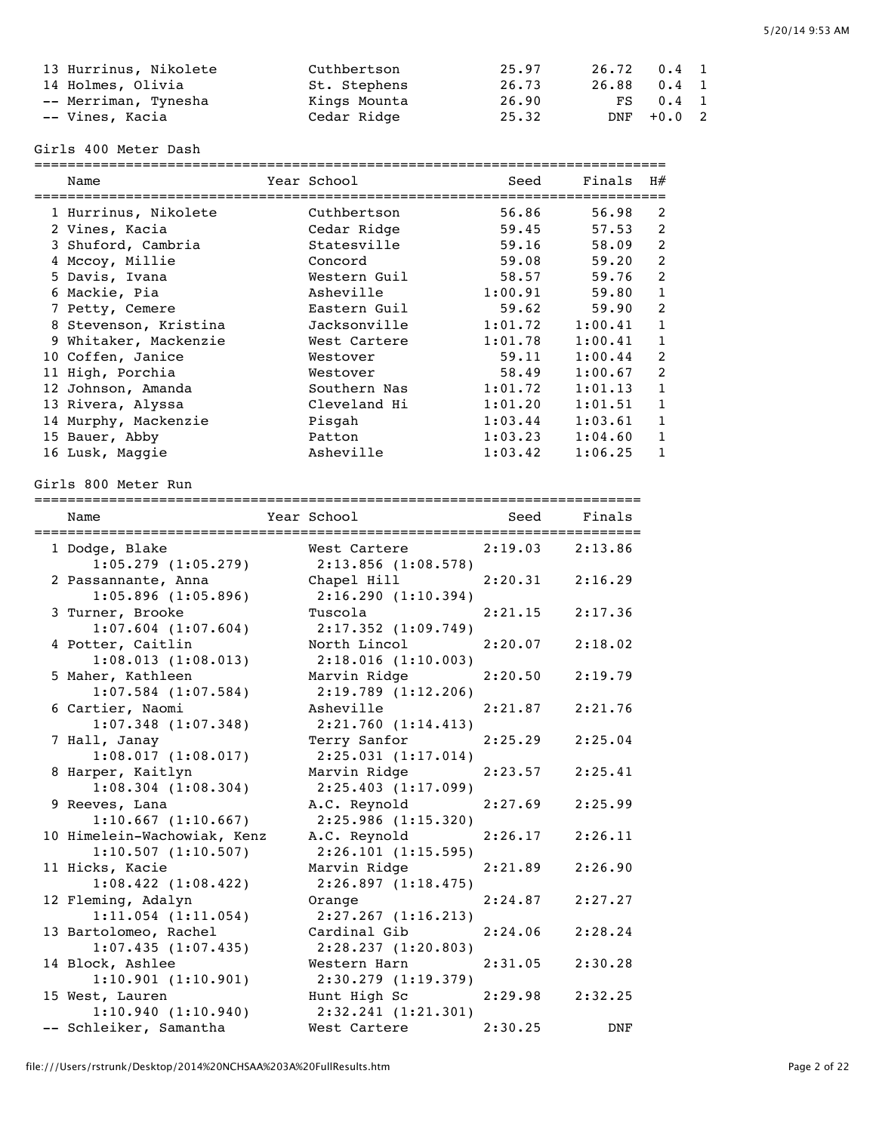| 13 Hurrinus, Nikolete | Cuthbertson  | 25.97 | 26.72 0.4 1 |            |  |
|-----------------------|--------------|-------|-------------|------------|--|
| 14 Holmes, Olivia     | St. Stephens | 26.73 | 26.88 0.4 1 |            |  |
| -- Merriman, Tynesha  | Kings Mounta | 26.90 |             | FS 0.4 1   |  |
| -- Vines, Kacia       | Cedar Ridge  | 25.32 |             | DNF +0.0 2 |  |

Girls 400 Meter Dash

| Name                  | Year School  | Seed    | Finals  | H#             |
|-----------------------|--------------|---------|---------|----------------|
| 1 Hurrinus, Nikolete  | Cuthbertson  | 56.86   | 56.98   | 2              |
| 2 Vines, Kacia        | Cedar Ridge  | 59.45   | 57.53   | 2              |
| 3 Shuford, Cambria    | Statesville  | 59.16   | 58.09   | 2              |
| 4 Mccoy, Millie       | Concord      | 59.08   | 59.20   | $\overline{2}$ |
| 5 Davis, Ivana        | Western Guil | 58.57   | 59.76   | $\overline{2}$ |
| 6 Mackie, Pia         | Asheville    | 1:00.91 | 59.80   | 1              |
| 7 Petty, Cemere       | Eastern Guil | 59.62   | 59.90   | 2              |
| 8 Stevenson, Kristina | Jacksonville | 1:01.72 | 1:00.41 | 1              |
| 9 Whitaker, Mackenzie | West Cartere | 1:01.78 | 1:00.41 | 1              |
| 10 Coffen, Janice     | Westover     | 59.11   | 1:00.44 | $\overline{2}$ |
| 11 High, Porchia      | Westover     | 58.49   | 1:00.67 | 2              |
| 12 Johnson, Amanda    | Southern Nas | 1:01.72 | 1:01.13 | 1              |
| 13 Rivera, Alyssa     | Cleveland Hi | 1:01.20 | 1:01.51 | 1              |
| 14 Murphy, Mackenzie  | Pisgah       | 1:03.44 | 1:03.61 | 1              |
| 15 Bauer, Abby        | Patton       | 1:03.23 | 1:04.60 | 1              |
| 16 Lusk, Maggie       | Asheville    | 1:03.42 | 1:06.25 |                |

Girls 800 Meter Run

| Name<br>===================================   | Year School <b>Shoul</b> Press School   | Seed                | Finals     |
|-----------------------------------------------|-----------------------------------------|---------------------|------------|
| 1 Dodge, Blake                                | West Cartere                            | $2:19.03$ $2:13.86$ |            |
| $1:05.279$ $(1:05.279)$                       | $2:13.856$ (1:08.578)                   |                     |            |
| 2 Passannante, Anna                           | Chapel Hill                             | 2:20.31             | 2:16.29    |
| $1:05.896$ $(1:05.896)$                       | 2:16.290(1:10.394)                      |                     |            |
| 3 Turner, Brooke                              | Tuscola                                 | 2:21.15             | 2:17.36    |
| $1:07.604$ $(1:07.604)$<br>4 Potter, Caitlin  | $2:17.352$ $(1:09.749)$<br>North Lincol | 2:20.07             | 2:18.02    |
| 1:08.013(1:08.013)                            | 2:18.016(1:10.003)                      |                     |            |
| 5 Maher, Kathleen                             | Marvin Ridge                            | 2:20.50             | 2:19.79    |
| $1:07.584$ $(1:07.584)$                       | $2:19.789$ $(1:12.206)$                 |                     |            |
| 6 Cartier, Naomi                              | Asheville                               | 2:21.87             | 2:21.76    |
| $1:07.348$ $(1:07.348)$                       | 2:21.760 (1:14.413)                     |                     |            |
| 7 Hall, Janay                                 | Terry Sanfor                            | 2:25.29             | 2:25.04    |
| 1:08.017(1:08.017)                            | 2:25.031(1:17.014)                      |                     |            |
| 8 Harper, Kaitlyn                             | Marvin Ridge                            | 2:23.57             | 2:25.41    |
| $1:08.304$ $(1:08.304)$                       | $2:25.403$ $(1:17.099)$                 |                     |            |
| 9 Reeves, Lana                                | A.C. Reynold                            | 2:27.69             | 2:25.99    |
| 1:10.667(1:10.667)                            | 2:25.986(1:15.320)                      |                     |            |
| 10 Himelein-Wachowiak, Kenz                   | A.C. Reynold                            | 2:26.17             | 2:26.11    |
| 1:10.507(1:10.507)                            | 2:26.101(1:15.595)                      |                     |            |
| 11 Hicks, Kacie                               | Marvin Ridge                            | 2:21.89             | 2:26.90    |
| $1:08.422$ $(1:08.422)$<br>12 Fleming, Adalyn | 2:26.897(1:18.475)                      | 2:24.87             | 2:27.27    |
| $1:11.054$ $(1:11.054)$                       | Orange<br>$2:27.267$ $(1:16.213)$       |                     |            |
| 13 Bartolomeo, Rachel                         | Cardinal Gib                            | 2:24.06             | 2:28.24    |
| 1:07.435(1:07.435)                            | 2:28.237(1:20.803)                      |                     |            |
| 14 Block, Ashlee                              | Western Harn                            | 2:31.05             | 2:30.28    |
| 1:10.901(1:10.901)                            | 2:30.279 (1:19.379)                     |                     |            |
| 15 West, Lauren                               | Hunt High Sc                            | 2:29.98             | 2:32.25    |
| 1:10.940(1:10.940)                            | 2:32.241(1:21.301)                      |                     |            |
| -- Schleiker, Samantha                        | West Cartere                            | 2:30.25             | <b>DNF</b> |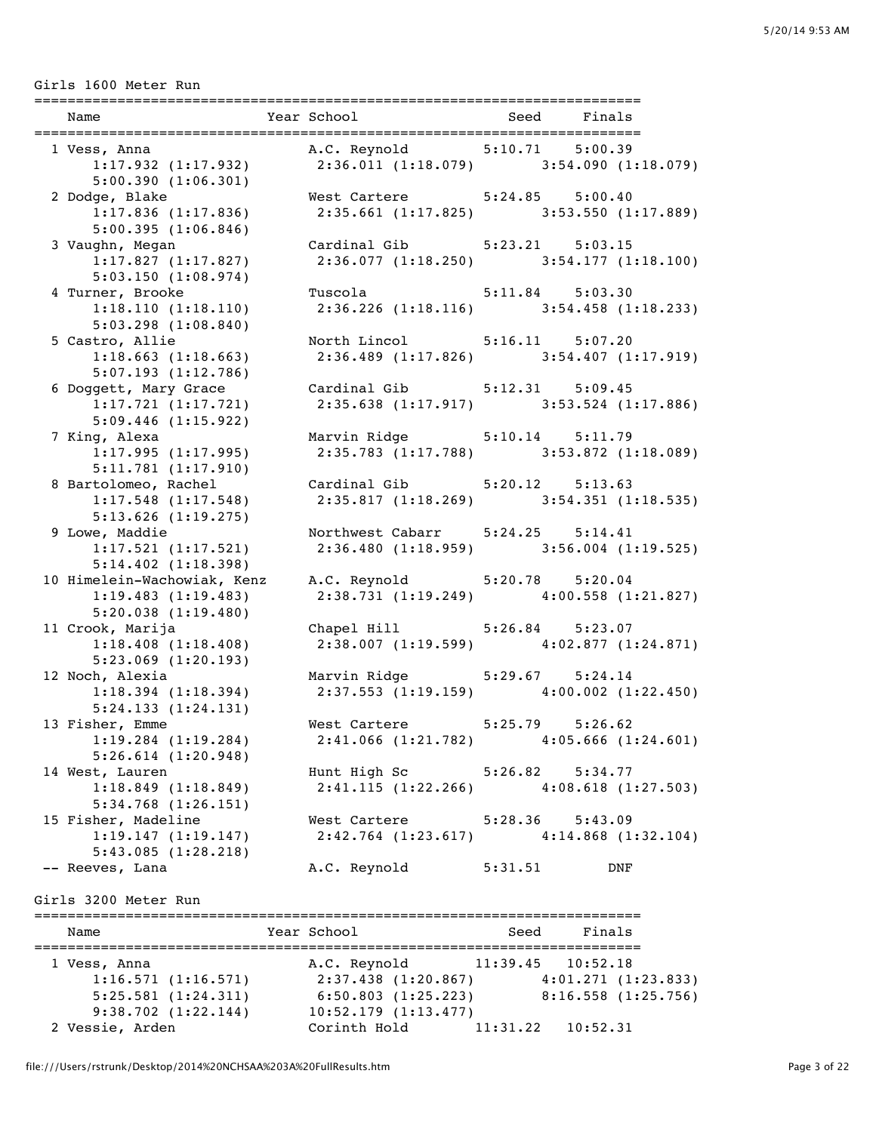Girls 1600 Meter Run

| Name                    | Year School                                                 |         | Seed Finals             |
|-------------------------|-------------------------------------------------------------|---------|-------------------------|
|                         | 1 Vess, Anna (1993) A.C. Reynold (1994) 5:10.71 5:00.39     |         |                         |
|                         | 1:17.932 (1:17.932) 2:36.011 (1:18.079) 3:54.090 (1:18.079) |         |                         |
| 5:00.390(1:06.301)      |                                                             |         |                         |
| 2 Dodge, Blake          | West Cartere 5:24.85 5:00.40                                |         |                         |
| $1:17.836$ $(1:17.836)$ | $2:35.661$ (1:17.825) $3:53.550$ (1:17.889)                 |         |                         |
| 5:00.395(1:06.846)      |                                                             |         |                         |
| 3 Vaughn, Megan         | Cardinal Gib 5:23.21 5:03.15                                |         |                         |
|                         | 1:17.827 (1:17.827) 2:36.077 (1:18.250) 3:54.177 (1:18.100) |         |                         |
| 5:03.150(1:08.974)      |                                                             |         |                         |
| 4 Turner, Brooke        | Tuscola 5:11.84 5:03.30                                     |         |                         |
| 1:18.110(1:18.110)      | $2:36.226$ (1:18.116) $3:54.458$ (1:18.233)                 |         |                         |
| 5:03.298(1:08.840)      |                                                             |         |                         |
| 5 Castro, Allie         | North Lincol 5:16.11 5:07.20                                |         |                         |
| 1:18.663(1:18.663)      | $2:36.489$ (1:17.826) 3:54.407 (1:17.919)                   |         |                         |
| 5:07.193(1:12.786)      |                                                             |         |                         |
|                         | 6 Doggett, Mary Grace Cardinal Gib 5:12.31 5:09.45          |         |                         |
| 1:17.721(1:17.721)      | 2:35.638 (1:17.917) 3:53.524 (1:17.886)                     |         |                         |
| 5:09.446(1:15.922)      |                                                             |         |                         |
| 7 King, Alexa           | Marvin Ridge 5:10.14 5:11.79                                |         |                         |
| 1:17.995(1:17.995)      | $2:35.783$ (1:17.788) 3:53.872 (1:18.089)                   |         |                         |
| 5:11.781(1:17.910)      |                                                             |         |                         |
| 8 Bartolomeo, Rachel    | Cardinal Gib 5:20.12 5:13.63                                |         |                         |
|                         | 1:17.548 (1:17.548) 2:35.817 (1:18.269) 3:54.351 (1:18.535) |         |                         |
| $5:13.626$ $(1:19.275)$ |                                                             |         |                         |
| 9 Lowe, Maddie          | Northwest Cabarr 5:24.25 5:14.41                            |         |                         |
|                         | 1:17.521 (1:17.521) 2:36.480 (1:18.959) 3:56.004 (1:19.525) |         |                         |
| 5:14.402(1:18.398)      |                                                             |         |                         |
|                         | 10 Himelein-Wachowiak, Kenz A.C. Reynold 5:20.78 5:20.04    |         |                         |
| 1:19.483(1:19.483)      | $2:38.731(1:19.249)$ $4:00.558(1:21.827)$                   |         |                         |
| 5:20.038(1:19.480)      |                                                             |         |                         |
| 11 Crook, Marija        | Chapel Hill 5:26.84 5:23.07                                 |         |                         |
| 1:18.408(1:18.408)      | $2:38.007$ (1:19.599) $4:02.877$ (1:24.871)                 |         |                         |
| $5:23.069$ $(1:20.193)$ |                                                             |         |                         |
| 12 Noch, Alexia         | Marvin Ridge 5:29.67 5:24.14                                |         |                         |
| 1:18.394(1:18.394)      | $2:37.553$ (1:19.159) $4:00.002$ (1:22.450)                 |         |                         |
| 5:24.133(1:24.131)      |                                                             |         |                         |
| 13 Fisher, Emme         | West Cartere 5:25.79 5:26.62                                |         |                         |
| $1:19.284$ $(1:19.284)$ | 2:41.066 (1:21.782)                                         |         | $4:05.666$ $(1:24.601)$ |
| $5:26.614$ $(1:20.948)$ |                                                             |         |                         |
| 14 West, Lauren         | Hunt High Sc 5:26.82 5:34.77                                |         |                         |
| 1:18.849(1:18.849)      | 2:41.115(1:22.266)                                          |         | 4:08.618(1:27.503)      |
| $5:34.768$ $(1:26.151)$ |                                                             |         |                         |
| 15 Fisher, Madeline     | West Cartere 5:28.36                                        |         | 5:43.09                 |
| 1:19.147(1:19.147)      | $2:42.764$ (1:23.617) $4:14.868$ (1:32.104)                 |         |                         |
| 5:43.085(1:28.218)      |                                                             |         |                         |
| -- Reeves, Lana         | A.C. Reynold                                                | 5:31.51 | DNF                     |
| Girls 3200 Meter Run    |                                                             |         |                         |

| Name                    | Year School              | Finals<br>Seed       |
|-------------------------|--------------------------|----------------------|
| 1 Vess, Anna            | A.C. Reynold             | 11:39.45<br>10:52.18 |
| 1:16.571(1:16.571)      | $2:37.438$ $(1:20.867)$  | 4:01.271(1:23.833)   |
| 5:25.581(1:24.311)      | $6:50.803$ $(1:25.223)$  | 8:16.558(1:25.756)   |
| $9:38.702$ $(1:22.144)$ | $10:52.179$ $(1:13.477)$ |                      |
| 2 Vessie, Arden         | Corinth Hold             | 11:31.22<br>10:52.31 |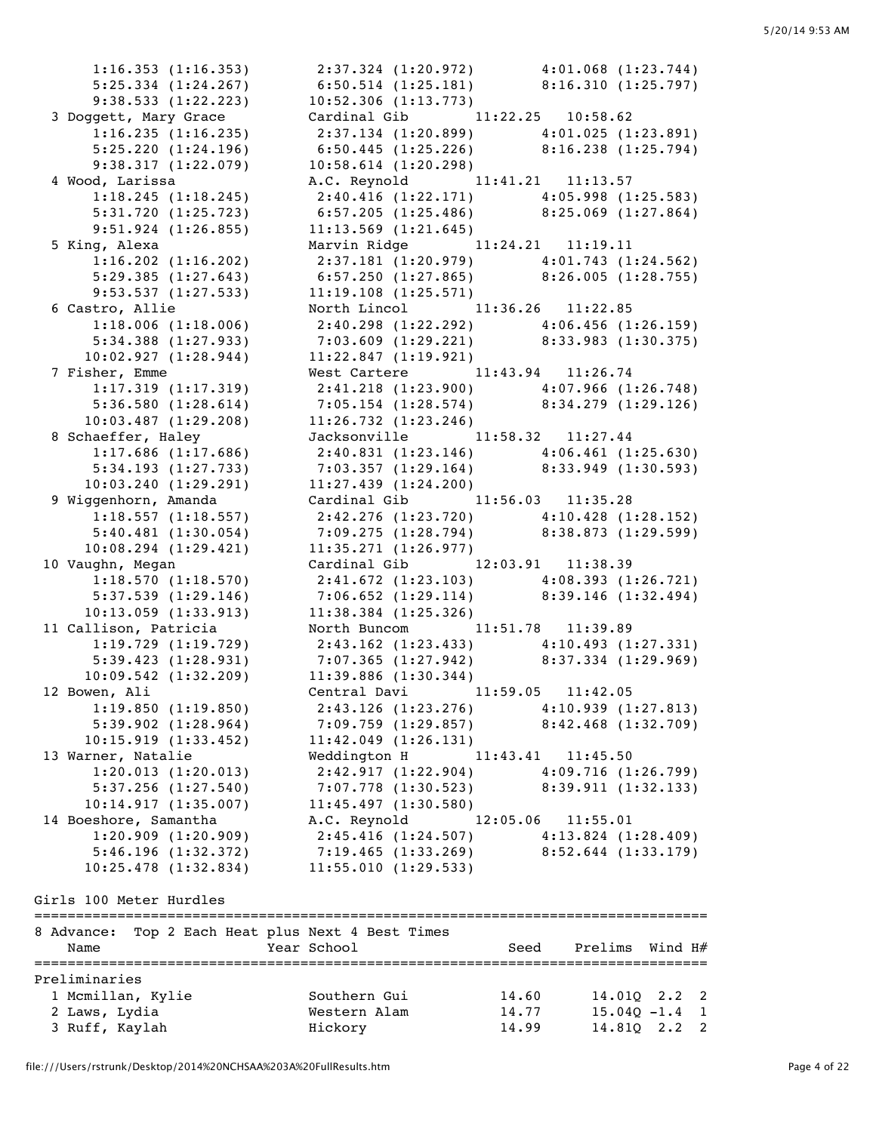1:16.353 (1:16.353) 2:37.324 (1:20.972) 4:01.068 (1:23.744) 5:25.334 (1:24.267) 6:50.514 (1:25.181) 8:16.310 (1:25.797) 9:38.533 (1:22.223) 10:52.306 (1:13.773) 3 Doggett, Mary Grace Cardinal Gib 11:22.25 10:58.62 1:16.235 (1:16.235) 2:37.134 (1:20.899) 4:01.025 (1:23.891) 5:25.220 (1:24.196) 6:50.445 (1:25.226) 8:16.238 (1:25.794) 9:38.317 (1:22.079) 10:58.614 (1:20.298) 4 Wood, Larissa A.C. Reynold 11:41.21 11:13.57 1:18.245 (1:18.245) 2:40.416 (1:22.171) 4:05.998 (1:25.583) 5:31.720 (1:25.723) 6:57.205 (1:25.486) 8:25.069 (1:27.864) 9:51.924 (1:26.855) 11:13.569 (1:21.645) 5 King, Alexa Marvin Ridge 11:24.21 11:19.11 1:16.202 (1:16.202) 2:37.181 (1:20.979) 4:01.743 (1:24.562) 5:29.385 (1:27.643) 6:57.250 (1:27.865) 8:26.005 (1:28.755) 9:53.537 (1:27.533) 11:19.108 (1:25.571) 6 Castro, Allie North Lincol 11:36.26 11:22.85 1:18.006 (1:18.006) 2:40.298 (1:22.292) 4:06.456 (1:26.159) 5:34.388 (1:27.933) 7:03.609 (1:29.221) 8:33.983 (1:30.375) 10:02.927 (1:28.944) 11:22.847 (1:19.921) 7 Fisher, Emme West Cartere 11:43.94 11:26.74 1:17.319 (1:17.319) 2:41.218 (1:23.900) 4:07.966 (1:26.748) 5:36.580 (1:28.614) 7:05.154 (1:28.574) 8:34.279 (1:29.126) 10:03.487 (1:29.208) 11:26.732 (1:23.246) 8 Schaeffer, Haley Jacksonville 11:58.32 11:27.44 1:17.686 (1:17.686) 2:40.831 (1:23.146) 4:06.461 (1:25.630) 5:34.193 (1:27.733) 7:03.357 (1:29.164) 8:33.949 (1:30.593) 10:03.240 (1:29.291) 11:27.439 (1:24.200) 9 Wiggenhorn, Amanda Cardinal Gib 11:56.03 11:35.28 1:18.557 (1:18.557) 2:42.276 (1:23.720) 4:10.428 (1:28.152) 5:40.481 (1:30.054) 7:09.275 (1:28.794) 8:38.873 (1:29.599) 10:08.294 (1:29.421) 11:35.271 (1:26.977) 10 Vaughn, Megan Cardinal Gib 12:03.91 11:38.39 1:18.570 (1:18.570) 2:41.672 (1:23.103) 4:08.393 (1:26.721) 5:37.539 (1:29.146) 7:06.652 (1:29.114) 8:39.146 (1:32.494) 10:13.059 (1:33.913) 11:38.384 (1:25.326) 11 Callison, Patricia North Buncom 11:51.78 11:39.89 1:19.729 (1:19.729) 2:43.162 (1:23.433) 4:10.493 (1:27.331) 5:39.423 (1:28.931) 7:07.365 (1:27.942) 8:37.334 (1:29.969) 10:09.542 (1:32.209) 11:39.886 (1:30.344) 12 Bowen, Ali Central Davi 11:59.05 11:42.05 1:19.850 (1:19.850) 2:43.126 (1:23.276) 4:10.939 (1:27.813) 5:39.902 (1:28.964) 7:09.759 (1:29.857) 8:42.468 (1:32.709) 10:15.919 (1:33.452) 11:42.049 (1:26.131) 13 Warner, Natalie  $\text{Weddington H}$  11:43.41 11:45.50 1:20.013 (1:20.013) 2:42.917 (1:22.904) 4:09.716 (1:26.799) 5:37.256 (1:27.540) 7:07.778 (1:30.523) 8:39.911 (1:32.133) 10:14.917 (1:35.007) 11:45.497 (1:30.580) 14 Boeshore, Samantha A.C. Reynold 12:05.06 11:55.01 1:20.909 (1:20.909) 2:45.416 (1:24.507) 4:13.824 (1:28.409) 5:46.196 (1:32.372) 7:19.465 (1:33.269) 8:52.644 (1:33.179) 10:25.478 (1:32.834) 11:55.010 (1:29.533) Girls 100 Meter Hurdles =================================================================================

| 8 Advance:<br>Name                                                    |  | Top 2 Each Heat plus Next 4 Best Times<br>Year School | Seed                    | Prelims Wind H#                                  |  |
|-----------------------------------------------------------------------|--|-------------------------------------------------------|-------------------------|--------------------------------------------------|--|
| Preliminaries<br>1 Mcmillan, Kylie<br>2 Laws, Lydia<br>3 Ruff, Kaylah |  | Southern Gui<br>Western Alam<br>Hickory               | 14.60<br>14.77<br>14.99 | 14.010 2.2 2<br>$15.040 - 1.4$ 1<br>14.810 2.2 2 |  |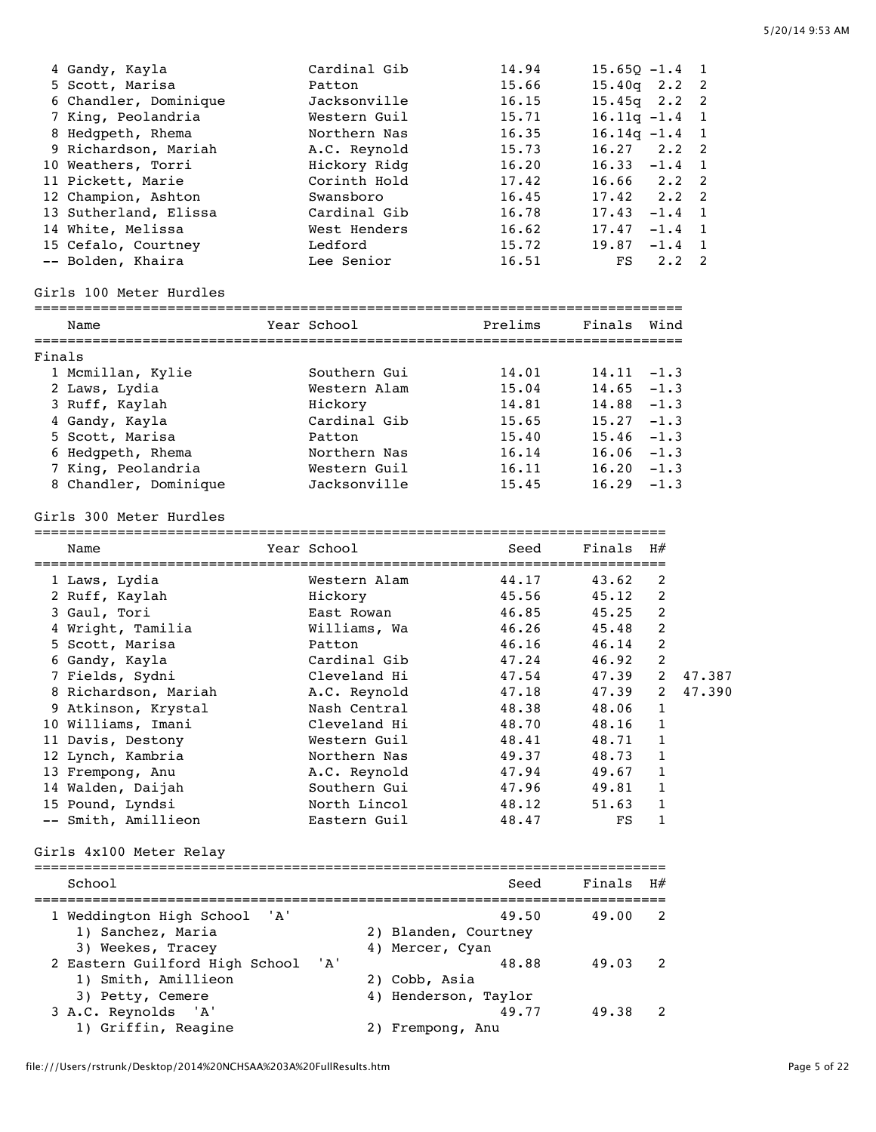| 4 Gandy, Kayla        | Cardinal Gib | 14.94 | $15.650 - 1.4$ 1 |             |                |
|-----------------------|--------------|-------|------------------|-------------|----------------|
| 5 Scott, Marisa       | Patton       | 15.66 | $15.40q$ 2.2 2   |             |                |
| 6 Chandler, Dominique | Jacksonville | 16.15 | $15.45q$ $2.2$ 2 |             |                |
| 7 King, Peolandria    | Western Guil | 15.71 | $16.11q - 1.4$ 1 |             |                |
| 8 Hedgpeth, Rhema     | Northern Nas | 16.35 | $16.14q - 1.4$ 1 |             |                |
| 9 Richardson, Mariah  | A.C. Reynold | 15.73 | $16.27$ $2.2$ 2  |             |                |
| 10 Weathers, Torri    | Hickory Ridg | 16.20 | $16.33 -1.4$ 1   |             |                |
| 11 Pickett, Marie     | Corinth Hold | 17.42 | $16.66$ $2.2$ 2  |             |                |
| 12 Champion, Ashton   | Swansboro    | 16.45 | $17.42$ $2.2$ 2  |             |                |
| 13 Sutherland, Elissa | Cardinal Gib | 16.78 | 17.43            | $-1.4$ 1    |                |
| 14 White, Melissa     | West Henders | 16.62 | 17.47            | $-1.4$ 1    |                |
| 15 Cefalo, Courtney   | Ledford      | 15.72 | 19.87            | $-1.4$ 1    |                |
| -- Bolden, Khaira     | Lee Senior   | 16.51 | FS               | $2 \cdot 2$ | $\overline{2}$ |

### Girls 100 Meter Hurdles

| Name                  | Year School  | Prelims | Finals<br>Wind  |  |
|-----------------------|--------------|---------|-----------------|--|
| Finals                |              |         |                 |  |
| 1 Mcmillan, Kylie     | Southern Gui | 14.01   | $14.11 - 1.3$   |  |
| 2 Laws, Lydia         | Western Alam | 15.04   | $14.65 - 1.3$   |  |
| 3 Ruff, Kaylah        | Hickory      | 14.81   | $14.88 - 1.3$   |  |
| 4 Gandy, Kayla        | Cardinal Gib | 15.65   | $-1.3$<br>15.27 |  |
| 5 Scott, Marisa       | Patton       | 15.40   | $15.46 - 1.3$   |  |
| 6 Hedgpeth, Rhema     | Northern Nas | 16.14   | $16.06 - 1.3$   |  |
| 7 King, Peolandria    | Western Guil | 16.11   | $16.20 - 1.3$   |  |
| 8 Chandler, Dominique | Jacksonville | 15.45   | 16.29<br>$-1.3$ |  |
|                       |              |         |                 |  |

#### Girls 300 Meter Hurdles

============================================================================

| Name                 | Year School  | Seed  | Finals | H#            |        |
|----------------------|--------------|-------|--------|---------------|--------|
| 1 Laws, Lydia        | Western Alam | 44.17 | 43.62  | 2             |        |
| 2 Ruff, Kaylah       | Hickory      | 45.56 | 45.12  | 2             |        |
| 3 Gaul, Tori         | East Rowan   | 46.85 | 45.25  | 2             |        |
| 4 Wright, Tamilia    | Williams, Wa | 46.26 | 45.48  | 2             |        |
| 5 Scott, Marisa      | Patton       | 46.16 | 46.14  | 2             |        |
| 6 Gandy, Kayla       | Cardinal Gib | 47.24 | 46.92  | 2             |        |
| 7 Fields, Sydni      | Cleveland Hi | 47.54 | 47.39  | $\mathcal{L}$ | 47.387 |
| 8 Richardson, Mariah | A.C. Reynold | 47.18 | 47.39  | 2             | 47.390 |
| 9 Atkinson, Krystal  | Nash Central | 48.38 | 48.06  | 1             |        |
| 10 Williams, Imani   | Cleveland Hi | 48.70 | 48.16  | 1             |        |
| 11 Davis, Destony    | Western Guil | 48.41 | 48.71  | 1             |        |
| 12 Lynch, Kambria    | Northern Nas | 49.37 | 48.73  | 1             |        |
| 13 Frempong, Anu     | A.C. Reynold | 47.94 | 49.67  | $\mathbf{1}$  |        |
| 14 Walden, Daijah    | Southern Gui | 47.96 | 49.81  | 1             |        |
| 15 Pound, Lyndsi     | North Lincol | 48.12 | 51.63  |               |        |
| -- Smith, Amillieon  | Eastern Guil | 48.47 | FS     |               |        |

## Girls 4x100 Meter Relay

| School                             | Seed                 | Finals $H#$ |                          |
|------------------------------------|----------------------|-------------|--------------------------|
| 1 Weddington High School 'A'       | 49.50                | 49.00       | $\overline{2}$           |
| 1) Sanchez, Maria                  | 2) Blanden, Courtney |             |                          |
| 3) Weekes, Tracey                  | 4) Mercer, Cyan      |             |                          |
| 2 Eastern Guilford High School 'A' | 48.88                | 49.03       | $\overline{\phantom{a}}$ |
| 1) Smith, Amillieon                | 2) Cobb, Asia        |             |                          |
| 3) Petty, Cemere                   | 4) Henderson, Taylor |             |                          |
| 3 A.C. Reynolds 'A'                | 49.77                | 49.38       |                          |
| 1) Griffin, Reagine                | Frempong, Anu        |             |                          |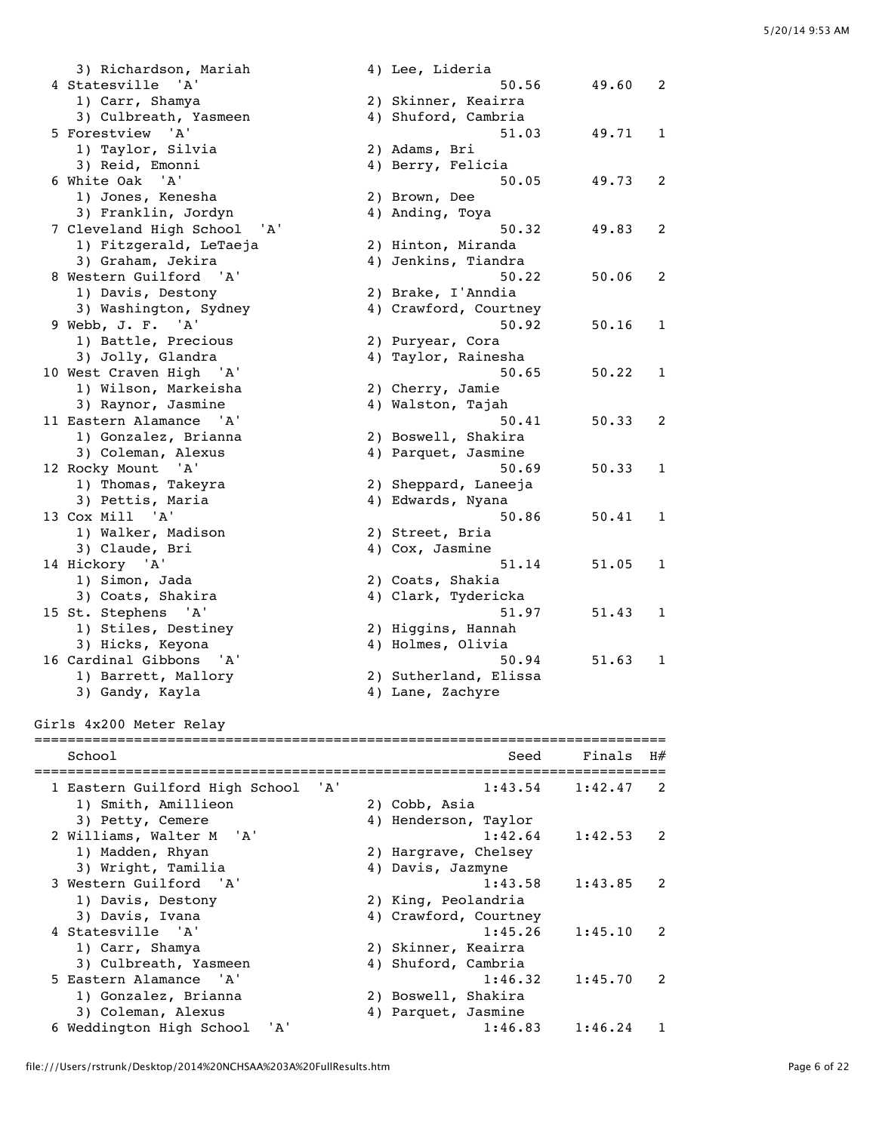3) Richardson, Mariah (4) Lee, Lideria 4 Statesville 'A' 50.56 49.60 2 1) Carr, Shamya 2) Skinner, Keairra 3) Culbreath, Yasmeen 4) Shuford, Cambria 5 Forestview 'A' 51.03 49.71 1<br>1) Taylor, Silvia 2) Adams, Bri 1) Taylor, Silvia 3) Reid, Emonni 4) Berry, Felicia 6 White Oak 'A' 50.05 49.73 2 1) Jones, Kenesha 2) Brown, Dee 3) Franklin, Jordyn 4) Anding, Toya 7 Cleveland High School 'A' 50.32 49.83 2 1) Fitzgerald, LeTaeja 2) Hinton, Miranda 3) Graham, Jekira (4) Jenkins, Tiandra 8 Western Guilford 'A' 50.22 50.06 2 1) Davis, Destony 2) Brake, I'Anndia 3) Washington, Sydney 4) Crawford, Courtney 9 Webb, J. F. 'A' 50.92 50.16 1 1) Battle, Precious 2) Puryear, Cora 3) Jolly, Glandra 4) Taylor, Rainesha 10 West Craven High 'A' 50.65 50.22 1 1) Wilson, Markeisha 2) Cherry, Jamie 3) Raynor, Jasmine  $4)$  Walston, Tajah 11 Eastern Alamance 'A' 50.41 50.33 2 1) Gonzalez, Brianna 2) Boswell, Shakira 3) Coleman, Alexus (4) Parquet, Jasmine 12 Rocky Mount 'A' 50.69 50.33 1 1) Thomas, Takeyra 2) Sheppard, Laneeja 3) Pettis, Maria (4) Edwards, Nyana 13 Cox Mill 'A' 50.86 50.41 1 1) Walker, Madison 2) Street, Bria 3) Claude, Bri (4) Cox, Jasmine 14 Hickory 'A' 51.14 51.05 1 1) Simon, Jada 2) Coats, Shakia 3) Coats, Shakira (4) Clark, Tydericka 15 St. Stephens 'A' 51.97 51.43 1 1) Stiles, Destiney 2) Higgins, Hannah 3) Hicks, Keyona 4) Holmes, Olivia 16 Cardinal Gibbons 'A' 50.94 51.63 1 1) Barrett, Mallory 2) Sutherland, Elissa 3) Gandy, Kayla 4) Lane, Zachyre Girls 4x200 Meter Relay ============================================================================ School School Seed Finals H# ============================================================================ 1 Eastern Guilford High School 'A' 1:43.54 1:42.47<br>1) Smith, Amillieon 2) Cobb, Asia 1) Smith, Amillieon 3) Petty, Cemere 4) Henderson, Taylor<br>
illiams, Walter M 'A' 1:42.53 2 Williams, Walter M 'A' 1:42.64 1:42.53 2 1) Madden, Rhyan 2) Hargrave, Chelsey 3) Wright, Tamilia 4) Davis, Jazmyne 3 Western Guilford 'A' 1:43.58 1:43.85 2 1) Davis, Destony 2) King, Peolandria 3) Davis, Ivana 4) Crawford, Courtney 4 Statesville 'A' 1:45.26 1:45.10 2 1) Carr, Shamya 2) Skinner, Keairra 3) Culbreath, Yasmeen and Allah Shuford, Cambria and the case of the case of the case of the case of the case of the case of the case of the case of the case o<br>1:46.32 1:45.70 2 5 Eastern Alamance 'A' 1:46.32 1:45.70 2 1) Gonzalez, Brianna 1) Gonzalez, Brianna (2) Boswell, Shakira<br>3) Coleman, Alexus (4) Parquet, Jasmine

6 Weddington High School 'A' 1:46.83 1:46.24 1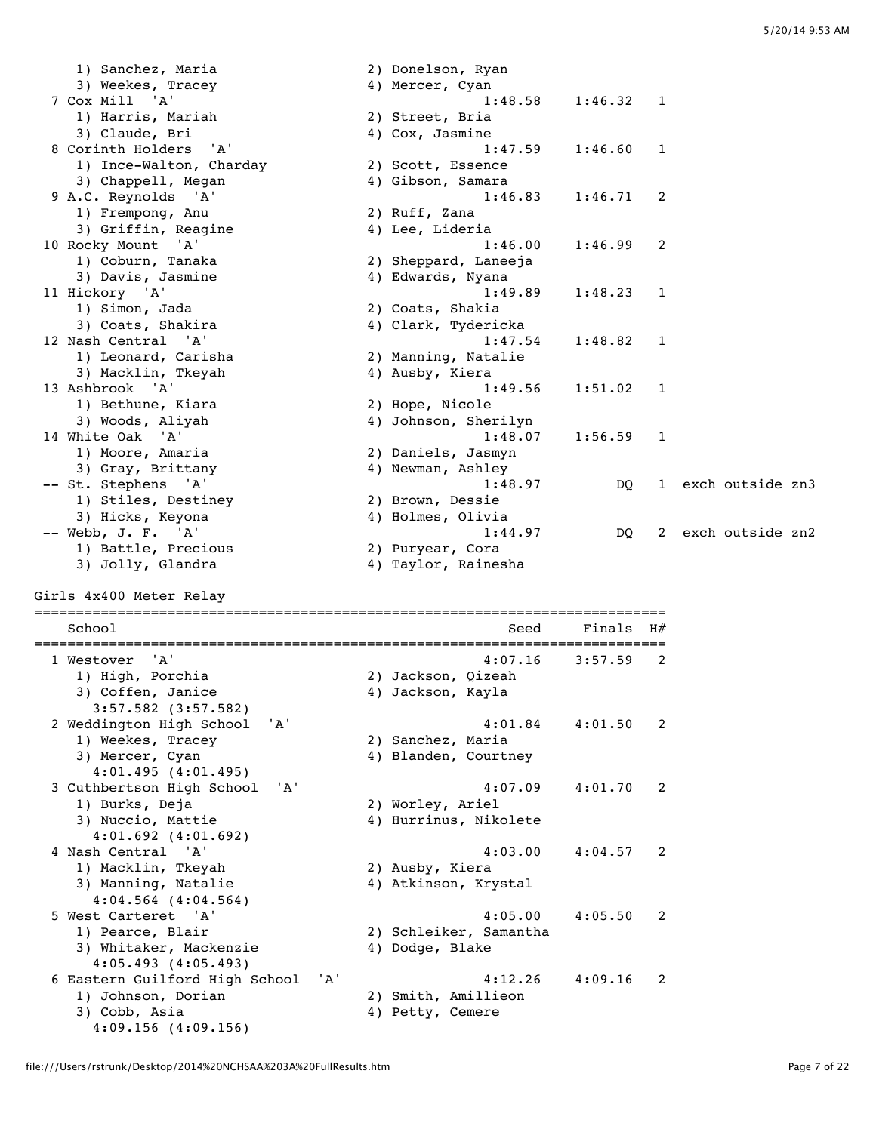1) Sanchez, Maria 2) Donelson, Ryan 3) Weekes, Tracey (4) Mercer, Cyan 7 Cox Mill 'A' 1:48.58 1:46.32 1 1) Harris, Mariah 3) Claude, Bri (2008) 4) Cox, Jasmine<br>8 Corinth Holders (2008) 4) Cox, Jasmine 8 Corinth Holders 'A' 1:47.59 1:46.60 1 1) Ince-Walton, Charday 2) Scott, Essence 3) Chappell, Megan 4) Gibson, Samara 9 A.C. Reynolds 'A' 1:46.83 1:46.71 2<br>1) Frempong, Anu 2) Ruff, Zana 1) Frempong, Anu 3) Griffin, Reagine 4) Lee, Lideria 10 Rocky Mount 'A' 1:46.00 1:46.99 2<br>
1) Coburn, Tanaka 2) Sheppard, Laneeja<br>
3) Davis, Jasmine 4) Edwards, Nyana 1) Coburn, Tanaka 2) Sheppard, Laneeja 3) Davis, Jasmine 4) Edwards, Nyana 11 Hickory 'A' 1:49.89 1:48.23 1 1) Simon, Jada 2) Coats, Shakia 3) Coats, Shakira (4) Clark, Tydericka 12 Nash Central 'A' 1:47.54 1:48.82 1 1) Leonard, Carisha 2) Manning, Natalie 3) Macklin, Tkeyah 4) Ausby, Kiera 13 Ashbrook 'A' 1:49.56 1:51.02 1 1) Bethune, Kiara<br>3) Woods, Aliyah 2) Hope, Nicole<br>4) Johnson, Sherilyn<br>1:48.07 1:56.59 14 White Oak 'A' 1:48.07 1:56.59 1 1) Moore, Amaria 2) Daniels, Jasmyn nice can<br>1) Moore, Amaria (2) Daniels, Jasmyn<br>3) Gray, Brittany (4) Newman, Ashley<br>2) Graphs (1) -- St. Stephens 'A'  $1:48.97$  DQ 1 exch outside zn3 1) Stiles, Destiney 2) Brown, Dessie 3) Hicks, Keyona 4) Holmes, Olivia -- Webb, J. F. 'A'  $1:44.97$  DQ 2 exch outside zn2 1) Battle, Precious 2) Puryear, Cora 3) Jolly, Glandra 4) Taylor, Rainesha Girls 4x400 Meter Relay ============================================================================ School School Seed Finals H# ============================================================================ 1 Westover 'A' 4:07.16 3:57.59 2 1) High, Porchia 2) Jackson, Qizeah 3) Coffen, Janice 4) Jackson, Kayla 3:57.582 (3:57.582) 2 Weddington High School 'A' 4:01.84 4:01.50 2<br>1) Weekes, Tracey 2) Sanchez, Maria 1) Weekes, Tracey 3) Mercer, Cyan (2008) 4) Blanden, Courtney 4:01.495 (4:01.495) 3 Cuthbertson High School 'A' 4:07.09 4:01.70 2 1) Burks, Deja 2) Worley, Ariel 3) Nuccio, Mattie 4) Hurrinus, Nikolete 4:01.692 (4:01.692) 4 Nash Central 'A' 4:03.00 4:04.57 2 ..<br>2) Ausby, Kiera 3) Manning, Natalie (4) Atkinson, Krystal (4) Atkinson, Article  $4:04.564$   $(4:04.564)$  5 West Carteret 'A' 4:05.00 4:05.50 2 1) Pearce, Blair 2) Schleiker, Samantha 3) Whitaker, Mackenzie 4) Dodge, Blake 4:05.493 (4:05.493) 6 Eastern Guilford High School 'A' 4:12.26 4:09.16 2 1) Johnson, Dorian 3) Cobb, Asia (4) Petty, Cemere

4:09.156 (4:09.156)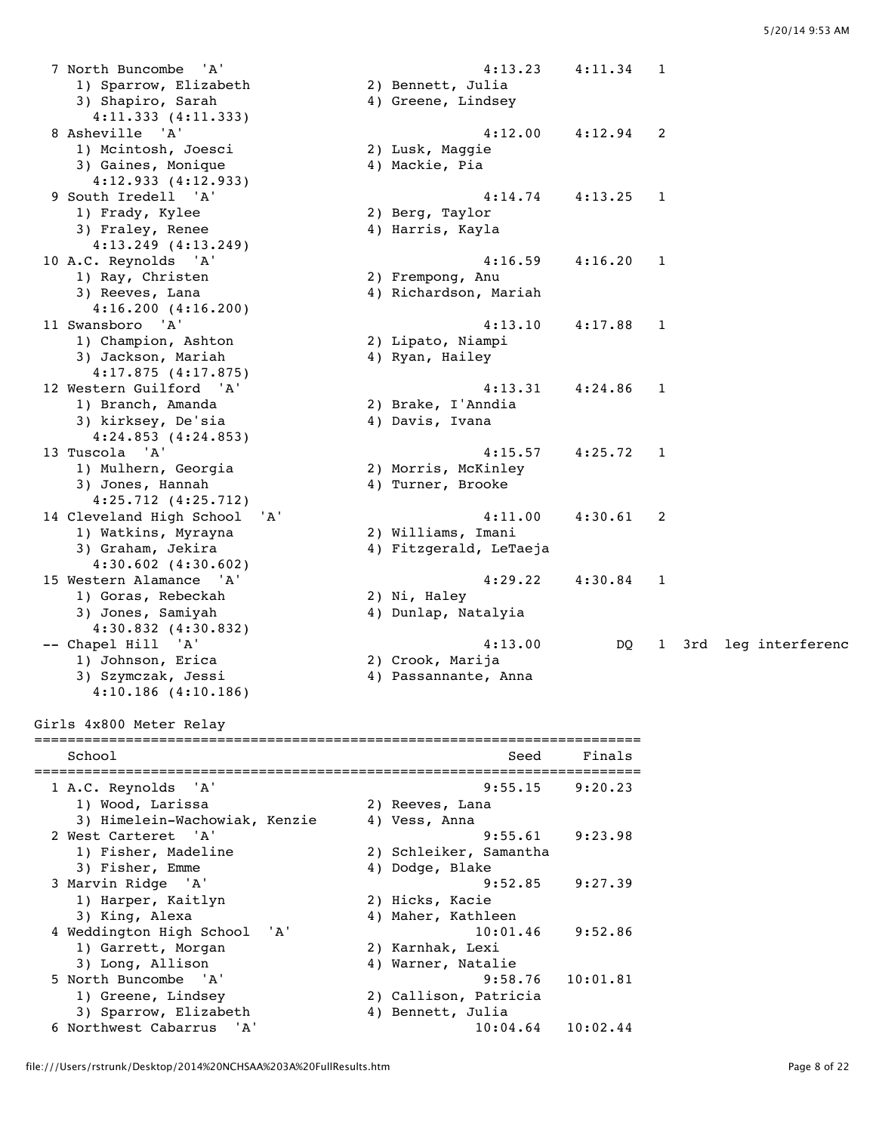8 4:12.00 4:12.94 2<br>2) Lusk, Maggie

4:15.57 4:25.72 1<br>2) Morris, McKinley

9 South Iredell 'A' 4:14.74 4:13.25 1

11 Swansboro 'A' 4:13.10 4:17.88 1

 7 North Buncombe 'A' 4:13.23 4:11.34 1 1) Sparrow, Elizabeth 2) Bennett, Julia 3) Shapiro, Sarah (4) Greene, Lindsey 4:11.333 (4:11.333)<br>8 Asheville 'A' 1) Mcintosh, Joesci 3) Gaines, Monique (4) Mackie, Pia 4:12.933 (4:12.933)<br>9 South Iredell 'A' 1) Frady, Kylee 2) Berg, Taylor 3) Fraley, Renee (1998) 1997 - 1998 August 1998<br>4) Harris, Kayla 4:13.249 (4:13.249) 10 A.C. Reynolds 'A' 4:16.59 4:16.20 1 1) Ray, Christen 2) Frempong, Anu 3) Reeves, Lana 4) Richardson, Mariah 4:16.200 (4:16.200)<br>11 Swansboro 'A' 1) Champion, Ashton 2) Lipato, Niampi 3) Jackson, Mariah (4) Ryan, Hailey 4:17.875 (4:17.875) 12 Western Guilford 'A' 4:13.31 4:24.86 1 1) Branch, Amanda 2) Brake, I'Anndia 3) kirksey, De'sia 4:24.853 (4:24.853)<br>13 Tuscola 'A' 1) Mulhern, Georgia 3) Jones, Hannah (4) Turner, Brooke 4:25.712 (4:25.712) 14 Cleveland High School 'A' 4:11.00 4:30.61 2 1) Watkins, Myrayna 2) Williams, Imani 3) Graham, Jekira (4) Fitzgerald, LeTaeja 4:30.602 (4:30.602) 15 Western Alamance 'A' 4:29.22 4:30.84 1 1) Goras, Rebeckah 3) Jones, Samiyah (4) Dunlap, Natalyia 4:30.832 (4:30.832) -- Chapel Hill 'A'  $4:13.00$  DQ 1 3rd leg interferenc<br>1) Johnson, Erica 2) Crook, Marija 1) Johnson, Erica 2) Crook, Marija 3) Szymczak, Jessi 4) Passannante, Anna 4:10.186 (4:10.186) Girls 4x800 Meter Relay

========================================================================= School Seed Finals ========================================================================= 1 A.C. Reynolds 'A' 9:55.15 9:20.23 1) Wood, Larissa (2) Reeves, Lana<br>3) Himelein-Wachowiak, Kenzie (2) Yess, Anna 3) Himelein-Wachowiak, Kenzie 4) Vess, Anna 2 West Carteret 'A' 9:55.61 9:23.98 1) Fisher, Madeline 2) Schleiker, Samantha 3) Fisher, Emme 4) Dodge, Blake 3 Marvin Ridge 'A' 9:52.85 9:27.39 er and the state of the state of the state of the state of the state of the state of the state of the state of<br>1) Hicks, Kacie of the state of the state of the state of the state of the state of the state of the state of 3) King, Alexa 4) Maher, Kathleen 4 Weddington High School 'A' 10:01.46 9:52.86<br>1) Garrett, Morgan 2) Karnhak, Lexi<br>3) Long, Allison 4) Warner, Natalie 1) Garrett, Morgan 3) Long, Allison 4) Warner, Natalie 5 North Buncombe 'A' 9:58.76 10:01.81 1) Greene, Lindsey 2) Callison, Patricia 3) Sparrow, Elizabeth (4) Bennett, Julia 6 Northwest Cabarrus 'A' 10:04.64 10:02.44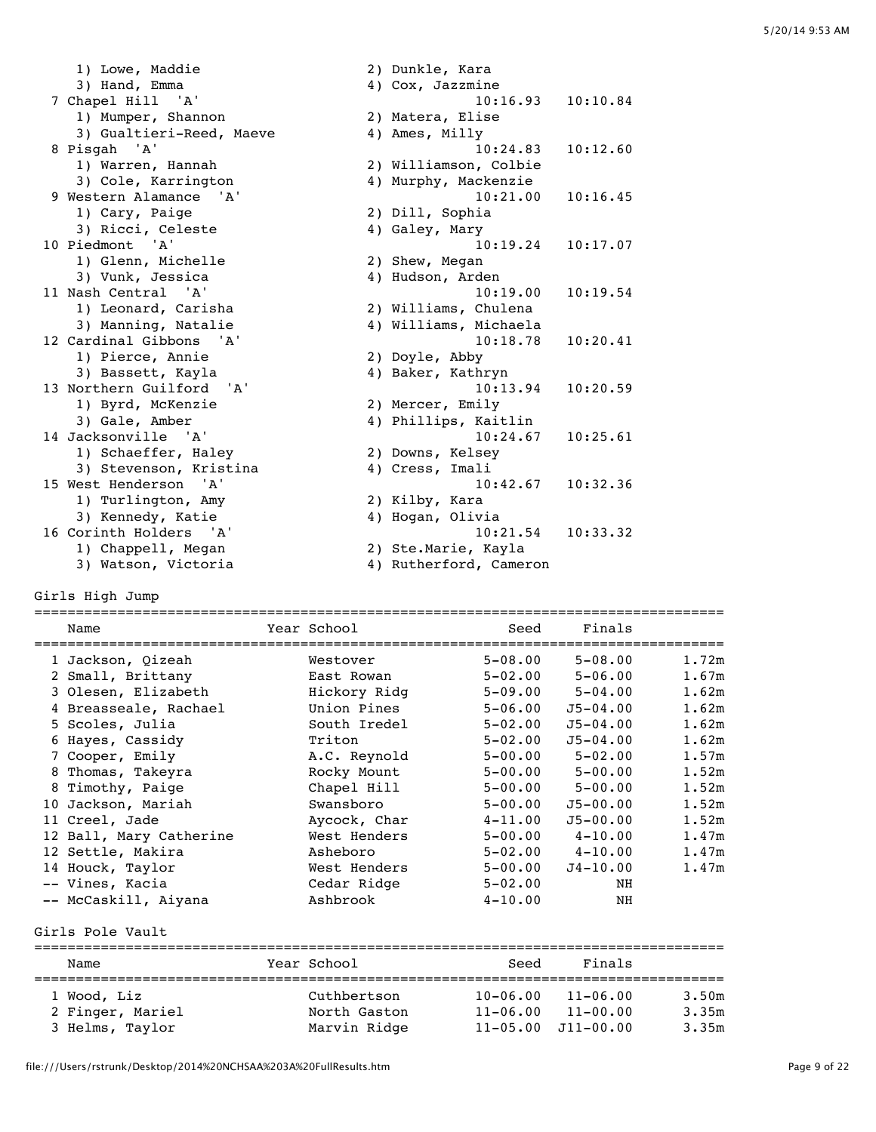| 1) Lowe, Maddie          | 2) Dunkle, Kara        |
|--------------------------|------------------------|
| 3) Hand, Emma            | 4) Cox, Jazzmine       |
| 7 Chapel Hill 'A'        | 10:16.93<br>10:10.84   |
| 1) Mumper, Shannon       | 2) Matera, Elise       |
| 3) Gualtieri-Reed, Maeve | 4) Ames, Milly         |
| 8 Pisgah 'A'             | 10:24.83<br>10:12.60   |
| 1) Warren, Hannah        | 2) Williamson, Colbie  |
| 3) Cole, Karrington      | 4) Murphy, Mackenzie   |
| 9 Western Alamance 'A'   | 10:21.00<br>10:16.45   |
| 1) Cary, Paige           | 2) Dill, Sophia        |
| 3) Ricci, Celeste        | 4) Galey, Mary         |
| 10 Piedmont 'A'          | 10:19.24<br>10:17.07   |
| 1) Glenn, Michelle       | 2) Shew, Megan         |
| 3) Vunk, Jessica         | 4) Hudson, Arden       |
| 11 Nash Central 'A'      | 10:19.54<br>10:19.00   |
| 1) Leonard, Carisha      | 2) Williams, Chulena   |
| 3) Manning, Natalie      | 4) Williams, Michaela  |
| 12 Cardinal Gibbons 'A'  | 10:18.78<br>10:20.41   |
| 1) Pierce, Annie         | 2) Doyle, Abby         |
| 3) Bassett, Kayla        | 4) Baker, Kathryn      |
| 13 Northern Guilford 'A' | 10:13.94<br>10:20.59   |
| 1) Byrd, McKenzie        | 2) Mercer, Emily       |
| 3) Gale, Amber           | 4) Phillips, Kaitlin   |
| 14 Jacksonville 'A'      | 10:24.67<br>10:25.61   |
| 1) Schaeffer, Haley      | 2) Downs, Kelsey       |
| 3) Stevenson, Kristina   | 4) Cress, Imali        |
| 15 West Henderson 'A'    | 10:42.67<br>10:32.36   |
| 1) Turlington, Amy       | 2) Kilby, Kara         |
| 3) Kennedy, Katie        | 4) Hogan, Olivia       |
| 16 Corinth Holders 'A'   | 10:21.54<br>10:33.32   |
| 1) Chappell, Megan       | 2) Ste.Marie, Kayla    |
| 3) Watson, Victoria      | 4) Rutherford, Cameron |

Girls High Jump

|    | Name                    | Year School  | Seed        | Finals       |       |
|----|-------------------------|--------------|-------------|--------------|-------|
|    | 1 Jackson, Oizeah       | Westover     | $5 - 08.00$ | $5 - 08.00$  | 1.72m |
|    | 2 Small, Brittany       | East Rowan   | $5 - 02.00$ | $5 - 06.00$  | 1.67m |
|    | 3 Olesen, Elizabeth     | Hickory Ridg | $5 - 09.00$ | $5 - 04.00$  | 1.62m |
|    | 4 Breasseale, Rachael   | Union Pines  | $5 - 06.00$ | $J5 - 04.00$ | 1.62m |
|    | 5 Scoles, Julia         | South Iredel | $5 - 02.00$ | $J5 - 04.00$ | 1.62m |
|    | 6 Hayes, Cassidy        | Triton       | $5 - 02.00$ | $J5 - 04.00$ | 1.62m |
|    | 7 Cooper, Emily         | A.C. Reynold | $5 - 00.00$ | $5 - 02.00$  | 1.57m |
|    | 8 Thomas, Takeyra       | Rocky Mount  | $5 - 00.00$ | $5 - 00.00$  | 1.52m |
|    | 8 Timothy, Paige        | Chapel Hill  | $5 - 00.00$ | $5 - 00.00$  | 1.52m |
| 10 | Jackson, Mariah         | Swansboro    | $5 - 00.00$ | $J5 - 00.00$ | 1.52m |
|    | 11 Creel, Jade          | Aycock, Char | $4 - 11.00$ | $J5 - 00.00$ | 1.52m |
|    | 12 Ball, Mary Catherine | West Henders | $5 - 00.00$ | $4 - 10.00$  | 1.47m |
|    | 12 Settle, Makira       | Asheboro     | $5 - 02.00$ | $4 - 10.00$  | 1.47m |
|    | 14 Houck, Taylor        | West Henders | $5 - 00.00$ | $J4 - 10.00$ | 1.47m |
|    | -- Vines, Kacia         | Cedar Ridge  | $5 - 02.00$ | NH           |       |
|    | -- McCaskill, Aiyana    | Ashbrook     | $4 - 10.00$ | ΝH           |       |

#### Girls Pole Vault

| Name                                               | Year School                                 | Seed                         | Finals                                                     |                         |
|----------------------------------------------------|---------------------------------------------|------------------------------|------------------------------------------------------------|-------------------------|
| 1 Wood, Liz<br>2 Finger, Mariel<br>3 Helms, Taylor | Cuthbertson<br>North Gaston<br>Marvin Ridge | $10 - 06.00$<br>$11 - 06.00$ | $11 - 06.00$<br>$11 - 00.00$<br>$11 - 05.00$ $J11 - 00.00$ | 3.50m<br>3.35m<br>3.35m |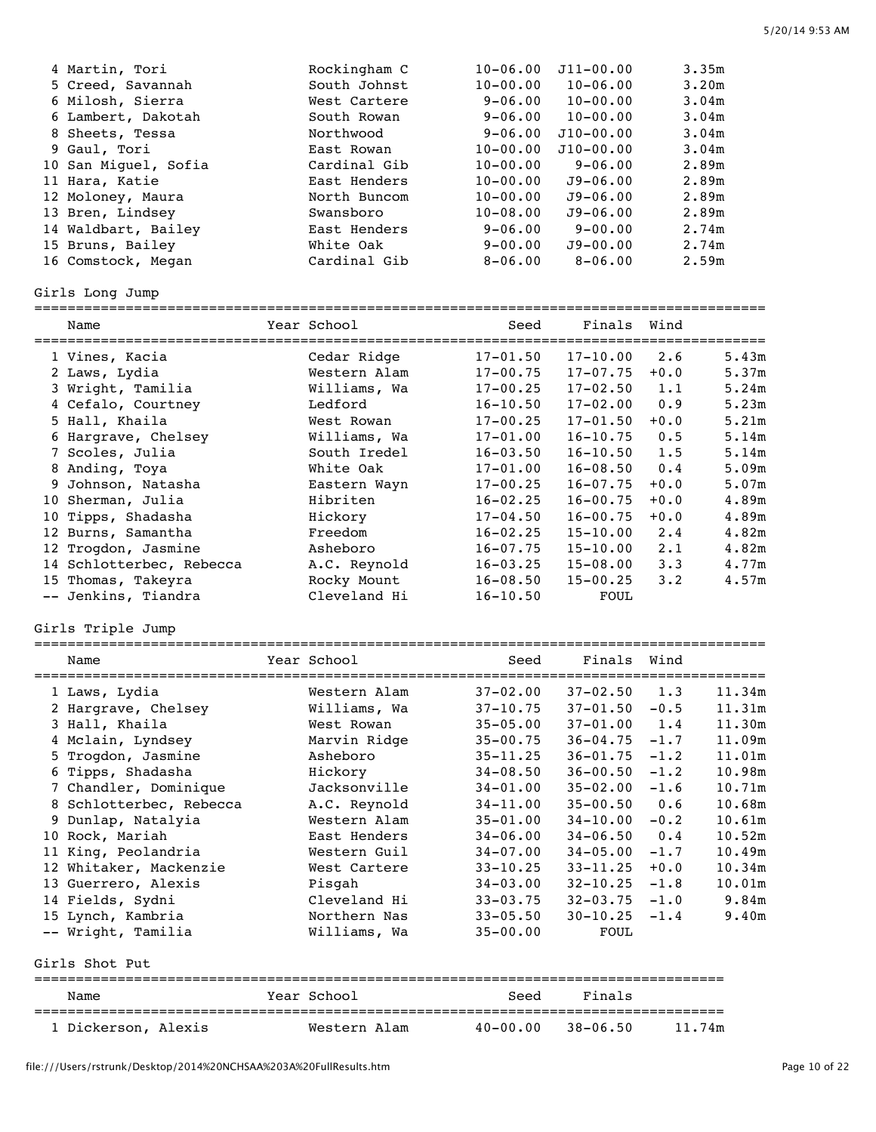| 4 Martin, Tori       | Rockingham C | $10 - 06.00$ | $J11 - 00.00$ | 3.35m |
|----------------------|--------------|--------------|---------------|-------|
| 5 Creed, Savannah    | South Johnst | $10 - 00.00$ | $10 - 06.00$  | 3.20m |
| 6 Milosh, Sierra     | West Cartere | $9 - 06.00$  | $10 - 00.00$  | 3.04m |
| 6 Lambert, Dakotah   | South Rowan  | $9 - 06.00$  | $10 - 00.00$  | 3.04m |
| 8 Sheets, Tessa      | Northwood    | $9 - 06.00$  | $J10 - 00.00$ | 3.04m |
| 9 Gaul, Tori         | East Rowan   | $10 - 00.00$ | $J10 - 00.00$ | 3.04m |
| 10 San Miquel, Sofia | Cardinal Gib | $10 - 00.00$ | $9 - 06.00$   | 2.89m |
| 11 Hara, Katie       | East Henders | $10 - 00.00$ | $J9 - 06.00$  | 2.89m |
| 12 Moloney, Maura    | North Buncom | $10 - 00.00$ | $J9 - 06.00$  | 2.89m |
| 13 Bren, Lindsey     | Swansboro    | $10 - 08.00$ | $J9 - 06.00$  | 2.89m |
| 14 Waldbart, Bailey  | East Henders | $9 - 06.00$  | $9 - 00.00$   | 2.74m |
| 15 Bruns, Bailey     | White Oak    | $9 - 00.00$  | $J9 - 00.00$  | 2.74m |
| 16 Comstock, Megan   | Cardinal Gib | $8 - 06.00$  | $8 - 06.00$   | 2.59m |

# Girls Long Jump

|    | Name                     | Year School  | Seed<br>========================== | Finals       | Wind        |       |
|----|--------------------------|--------------|------------------------------------|--------------|-------------|-------|
|    | 1 Vines, Kacia           | Cedar Ridge  | $17 - 01.50$                       | $17 - 10.00$ | 2.6         | 5.43m |
|    | 2 Laws, Lydia            | Western Alam | $17 - 00.75$                       | $17 - 07.75$ | $+0.0$      | 5.37m |
|    | 3 Wright, Tamilia        | Williams, Wa | $17 - 00.25$                       | $17 - 02.50$ | 1.1         | 5.24m |
|    | 4 Cefalo, Courtney       | Ledford      | $16 - 10.50$                       | $17 - 02.00$ | 0.9         | 5.23m |
|    | 5 Hall, Khaila           | West Rowan   | $17 - 00.25$                       | $17 - 01.50$ | $+0.0$      | 5.21m |
|    | 6 Hargrave, Chelsey      | Williams, Wa | $17 - 01.00$                       | $16 - 10.75$ | 0.5         | 5.14m |
|    | 7 Scoles, Julia          | South Iredel | $16 - 03.50$                       | $16 - 10.50$ | 1.5         | 5.14m |
|    | 8 Anding, Toya           | White Oak    | $17 - 01.00$                       | $16 - 08.50$ | 0.4         | 5.09m |
|    | 9 Johnson, Natasha       | Eastern Wayn | $17 - 00.25$                       | $16 - 07.75$ | $+0.0$      | 5.07m |
| 10 | Sherman, Julia           | Hibriten     | $16 - 02.25$                       | $16 - 00.75$ | $+0.0$      | 4.89m |
|    | 10 Tipps, Shadasha       | Hickory      | $17 - 04.50$                       | $16 - 00.75$ | $+0.0$      | 4.89m |
| 12 | Burns, Samantha          | Freedom      | $16 - 02.25$                       | $15 - 10.00$ | 2.4         | 4.82m |
|    | 12 Trogdon, Jasmine      | Asheboro     | $16 - 07.75$                       | $15 - 10.00$ | $2 \cdot 1$ | 4.82m |
|    | 14 Schlotterbec, Rebecca | A.C. Reynold | $16 - 03.25$                       | $15 - 08.00$ | 3.3         | 4.77m |
|    | 15 Thomas, Takeyra       | Rocky Mount  | $16 - 08.50$                       | $15 - 00.25$ | $3 \cdot 2$ | 4.57m |
|    | -- Jenkins, Tiandra      | Cleveland Hi | $16 - 10.50$                       | FOUL         |             |       |

# Girls Triple Jump

| Name                    | Year School  | Seed         | Finals Wind  |        |        |
|-------------------------|--------------|--------------|--------------|--------|--------|
| 1 Laws, Lydia           | Western Alam | $37 - 02.00$ | $37 - 02.50$ | 1.3    | 11.34m |
| 2 Hargrave, Chelsey     | Williams, Wa | $37 - 10.75$ | $37 - 01.50$ | $-0.5$ | 11.31m |
| 3 Hall, Khaila          | West Rowan   | $35 - 05.00$ | $37 - 01.00$ | 1.4    | 11.30m |
| 4 Mclain, Lyndsey       | Marvin Ridge | $35 - 00.75$ | $36 - 04.75$ | $-1.7$ | 11.09m |
| 5 Trogdon, Jasmine      | Asheboro     | $35 - 11.25$ | $36 - 01.75$ | $-1.2$ | 11.01m |
| 6 Tipps, Shadasha       | Hickory      | $34 - 08.50$ | $36 - 00.50$ | $-1.2$ | 10.98m |
| 7 Chandler, Dominique   | Jacksonville | $34 - 01.00$ | $35 - 02.00$ | $-1.6$ | 10.71m |
| 8 Schlotterbec, Rebecca | A.C. Reynold | $34 - 11.00$ | $35 - 00.50$ | 0.6    | 10.68m |
| 9 Dunlap, Natalyia      | Western Alam | $35 - 01.00$ | $34 - 10.00$ | $-0.2$ | 10.61m |
| 10 Rock, Mariah         | East Henders | $34 - 06.00$ | $34 - 06.50$ | 0.4    | 10.52m |
| 11 King, Peolandria     | Western Guil | $34 - 07.00$ | $34 - 05.00$ | $-1.7$ | 10.49m |
| 12 Whitaker, Mackenzie  | West Cartere | $33 - 10.25$ | $33 - 11.25$ | $+0.0$ | 10.34m |
| 13 Guerrero, Alexis     | Pisgah       | $34 - 03.00$ | $32 - 10.25$ | $-1.8$ | 10.01m |
| 14 Fields, Sydni        | Cleveland Hi | $33 - 03.75$ | $32 - 03.75$ | $-1.0$ | 9.84m  |
| 15 Lynch, Kambria       | Northern Nas | $33 - 05.50$ | $30 - 10.25$ | $-1.4$ | 9.40m  |
| -- Wright, Tamilia      | Williams, Wa | $35 - 00.00$ | FOUL         |        |        |

## Girls Shot Put

| Name                | Year School  | Seed         | Finals   |        |
|---------------------|--------------|--------------|----------|--------|
| 1 Dickerson, Alexis | Western Alam | $40 - 00.00$ | 38-06.50 | 11.74m |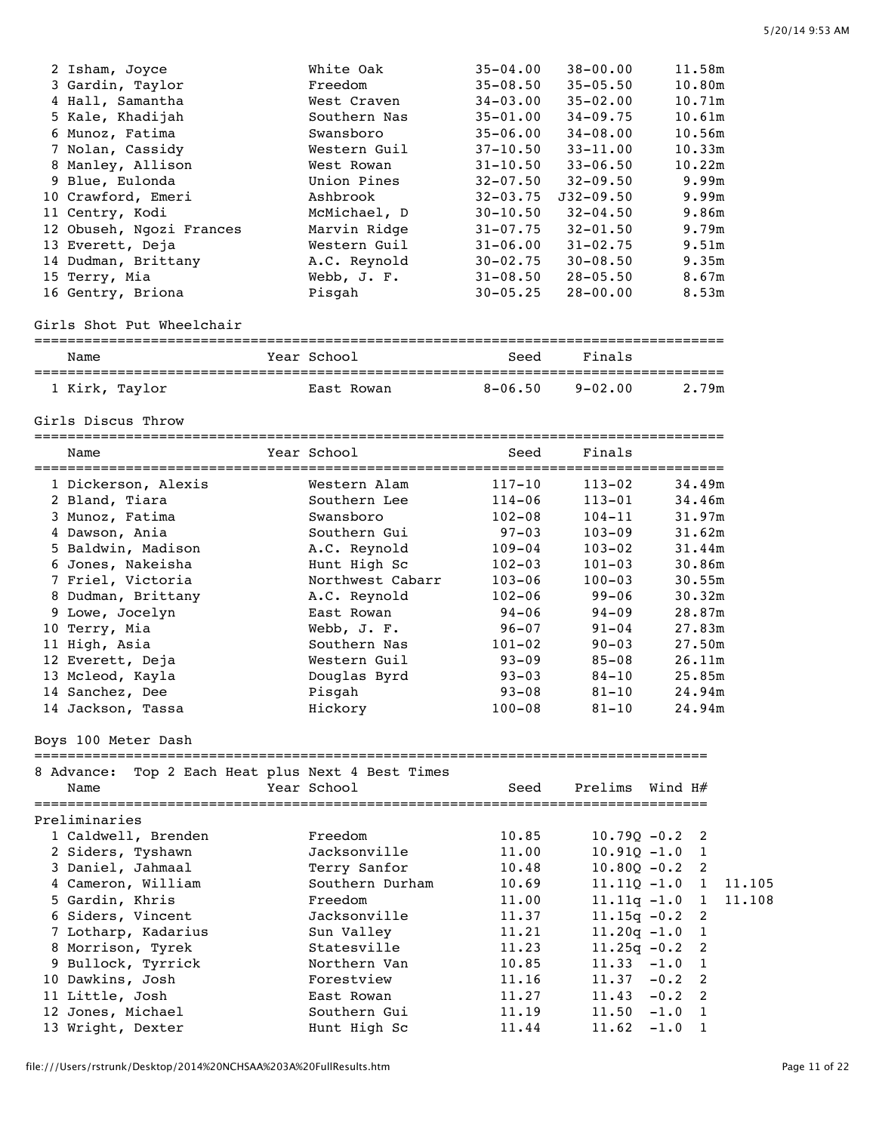| 2 Isham, Joyce<br>3 Gardin, Taylor<br>4 Hall, Samantha<br>5 Kale, Khadijah<br>6 Munoz, Fatima<br>7 Nolan, Cassidy<br>8 Manley, Allison<br>9 Blue, Eulonda<br>10 Crawford, Emeri<br>11 Centry, Kodi<br>12 Obuseh, Ngozi Frances<br>13 Everett, Deja<br>14 Dudman, Brittany<br>15 Terry, Mia<br>16 Gentry, Briona                                    | White Oak<br>Freedom<br>West Craven<br>Southern Nas<br>Swansboro<br>Western Guil<br>West Rowan<br>Union Pines<br>Ashbrook<br>McMichael, D<br>Marvin Ridge<br>Western Guil<br>A.C. Reynold<br>Webb, J. F.<br>Pisgah                                                                       | $35 - 04.00$<br>$35 - 08.50$<br>$34 - 03.00$<br>$35 - 01.00$<br>$35 - 06.00$<br>$37 - 10.50$<br>$31 - 10.50$<br>$32 - 07.50$<br>$32 - 03.75$<br>$30 - 10.50$<br>$31 - 07.75$<br>$31 - 06.00$<br>$30 - 02.75$<br>$31 - 08.50$<br>$30 - 05.25$ | $38 - 00.00$<br>$35 - 05.50$<br>$35 - 02.00$<br>$34 - 09.75$<br>$34 - 08.00$<br>$33 - 11.00$<br>$33 - 06.50$<br>$32 - 09.50$<br>$J32 - 09.50$<br>$32 - 04.50$<br>$32 - 01.50$<br>$31 - 02.75$<br>$30 - 08.50$<br>$28 - 05.50$<br>$28 - 00.00$ | 11.58m<br>10.80m<br>10.71m<br>10.61m<br>10.56m<br>10.33m<br>10.22m<br>9.99m<br>9.99m<br>9.86m<br>9.79m<br>9.51m<br>9.35m<br>8.67m<br>8.53m                      |
|----------------------------------------------------------------------------------------------------------------------------------------------------------------------------------------------------------------------------------------------------------------------------------------------------------------------------------------------------|------------------------------------------------------------------------------------------------------------------------------------------------------------------------------------------------------------------------------------------------------------------------------------------|----------------------------------------------------------------------------------------------------------------------------------------------------------------------------------------------------------------------------------------------|-----------------------------------------------------------------------------------------------------------------------------------------------------------------------------------------------------------------------------------------------|-----------------------------------------------------------------------------------------------------------------------------------------------------------------|
| Girls Shot Put Wheelchair                                                                                                                                                                                                                                                                                                                          |                                                                                                                                                                                                                                                                                          |                                                                                                                                                                                                                                              |                                                                                                                                                                                                                                               |                                                                                                                                                                 |
| Name                                                                                                                                                                                                                                                                                                                                               | Year School                                                                                                                                                                                                                                                                              | Seed                                                                                                                                                                                                                                         | Finals                                                                                                                                                                                                                                        |                                                                                                                                                                 |
| 1 Kirk, Taylor                                                                                                                                                                                                                                                                                                                                     | East Rowan                                                                                                                                                                                                                                                                               | $8 - 06.50$                                                                                                                                                                                                                                  | $9 - 02.00$                                                                                                                                                                                                                                   | 2.79m                                                                                                                                                           |
| Girls Discus Throw                                                                                                                                                                                                                                                                                                                                 |                                                                                                                                                                                                                                                                                          |                                                                                                                                                                                                                                              |                                                                                                                                                                                                                                               |                                                                                                                                                                 |
| Name                                                                                                                                                                                                                                                                                                                                               | Year School                                                                                                                                                                                                                                                                              | Seed                                                                                                                                                                                                                                         | Finals                                                                                                                                                                                                                                        |                                                                                                                                                                 |
| 1 Dickerson, Alexis<br>2 Bland, Tiara<br>3 Munoz, Fatima<br>4 Dawson, Ania<br>5 Baldwin, Madison<br>6 Jones, Nakeisha<br>7 Friel, Victoria<br>8 Dudman, Brittany<br>9 Lowe, Jocelyn<br>10 Terry, Mia<br>11 High, Asia<br>12 Everett, Deja<br>13 Mcleod, Kayla<br>14 Sanchez, Dee<br>14 Jackson, Tassa<br>Boys 100 Meter Dash<br>8 Advance:<br>Name | Western Alam<br>Southern Lee<br>Swansboro<br>Southern Gui<br>A.C. Reynold<br>Hunt High Sc<br>Northwest Cabarr<br>A.C. Reynold<br>East Rowan<br>Webb, J. F.<br>Southern Nas<br>Western Guil<br>Douglas Byrd<br>Pisgah<br>Hickory<br>Top 2 Each Heat plus Next 4 Best Times<br>Year School | $117 - 10$<br>$114 - 06$<br>$102 - 08$<br>$97 - 03$<br>$109 - 04$<br>$102 - 03$<br>$103 - 06$<br>$102 - 06$<br>$94 - 06$<br>$96 - 07$<br>$101 - 02$<br>$93 - 09$<br>$93 - 03$<br>$93 - 08$<br>$100 - 08$<br>Seed                             | $113 - 02$<br>$113 - 01$<br>$104 - 11$<br>$103 - 09$<br>$103 - 02$<br>$101 - 03$<br>$100 - 03$<br>$99 - 06$<br>$94 - 09$<br>$91 - 04$<br>$90 - 03$<br>$85 - 08$<br>$84 - 10$<br>$81 - 10$<br>$81 - 10$<br>Prelims                             | 34.49m<br>34.46m<br>31.97m<br>31.62m<br>31.44m<br>30.86m<br>30.55m<br>30.32m<br>28.87m<br>27.83m<br>27.50m<br>26.11m<br>25.85m<br>24.94m<br>24.94m<br>Wind $H#$ |
| Preliminaries<br>1 Caldwell, Brenden<br>2 Siders, Tyshawn<br>3 Daniel, Jahmaal<br>4 Cameron, William<br>5 Gardin, Khris<br>6 Siders, Vincent<br>7 Lotharp, Kadarius<br>8 Morrison, Tyrek<br>9 Bullock, Tyrrick<br>10 Dawkins, Josh<br>11 Little, Josh<br>12 Jones, Michael<br>13 Wright, Dexter                                                    | Freedom<br>Jacksonville<br>Terry Sanfor<br>Southern Durham<br>Freedom<br>Jacksonville<br>Sun Valley<br>Statesville<br>Northern Van<br>Forestview<br>East Rowan<br>Southern Gui<br>Hunt High Sc                                                                                           | 10.85<br>11.00<br>10.48<br>10.69<br>11.00<br>11.37<br>11.21<br>11.23<br>10.85<br>11.16<br>11.27<br>11.19<br>11.44                                                                                                                            | $10.79Q - 0.2$<br>$10.91Q - 1.0$<br>$10.80Q - 0.2$<br>$11.110 - 1.0$<br>$11.11q - 1.0$<br>$11.15q - 0.2$<br>$11.20q - 1.0$<br>$11.25q - 0.2$<br>11.33<br>11.37<br>11.43<br>11.50<br>11.62                                                     | 2<br>1<br>2<br>11.105<br>1<br>11.108<br>1<br>2<br>1<br>2<br>$-1.0$<br>1<br>$-0.2$<br>2<br>2<br>$-0.2$<br>$-1.0$<br>1<br>$-1.0$<br>1                             |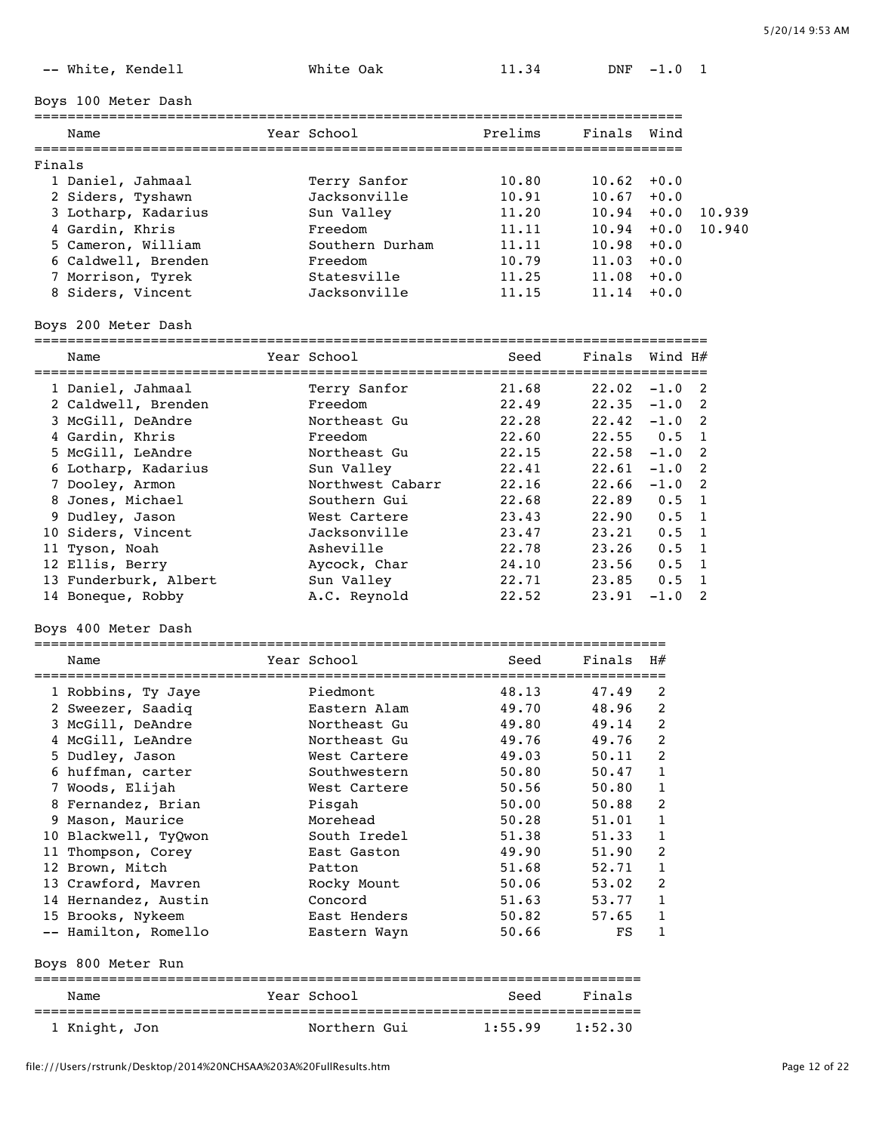| Boys 100 Meter Dash                                |                                  |                                     |                   |                |                |
|----------------------------------------------------|----------------------------------|-------------------------------------|-------------------|----------------|----------------|
| ================<br>Name                           | Year School                      | Prelims                             | Finals            | Wind           |                |
| Finals                                             |                                  |                                     |                   |                |                |
| 1 Daniel, Jahmaal                                  | Terry Sanfor                     | 10.80                               | 10.62             | $+0.0$         |                |
| 2 Siders, Tyshawn                                  | Jacksonville                     | 10.91                               | 10.67             | $+0.0$         |                |
| 3 Lotharp, Kadarius                                | Sun Valley                       | 11.20                               | 10.94             | $+0.0$         | 10.939         |
| 4 Gardin, Khris                                    | Freedom                          | 11.11                               | 10.94             | $+0.0$         | 10.940         |
| 5 Cameron, William                                 | Southern Durham                  | 11.11                               | 10.98             | $+0.0$         |                |
| 6 Caldwell, Brenden                                | Freedom                          | 10.79                               | $11.03 + 0.0$     |                |                |
| 7 Morrison, Tyrek                                  | Statesville                      | 11.25                               | $11.08 + 0.0$     |                |                |
| 8 Siders, Vincent                                  | Jacksonville                     | 11.15                               | 11.14             | $+0.0$         |                |
| Boys 200 Meter Dash                                |                                  |                                     |                   |                |                |
| Name                                               | Year School                      | Seed                                | Finals            | Wind H#        |                |
| 1 Daniel, Jahmaal                                  | Terry Sanfor                     | 21.68                               | $22.02 -1.0$      |                | 2              |
| 2 Caldwell, Brenden                                | Freedom                          | 22.49                               | $22.35 -1.0$      |                | 2              |
| 3 McGill, DeAndre                                  | Northeast Gu                     | 22.28                               | $22.42 - 1.0$     |                | 2              |
| 4 Gardin, Khris                                    | Freedom                          | 22.60                               | 22.55             | 0.5            | 1              |
| 5 McGill, LeAndre                                  | Northeast Gu                     | 22.15                               | $22.58 - 1.0$     |                | 2              |
| 6 Lotharp, Kadarius                                | Sun Valley                       | 22.41                               | 22.61             | $-1.0$         | 2              |
| 7 Dooley, Armon                                    | Northwest Cabarr                 | 22.16                               | 22.66             | $-1.0$         | $\overline{2}$ |
| 8 Jones, Michael                                   | Southern Gui                     | 22.68                               | 22.89             | 0.5            | 1              |
| 9 Dudley, Jason                                    | West Cartere                     | 23.43                               | 22.90             | 0.5            | 1              |
| 10 Siders, Vincent                                 | Jacksonville                     | 23.47                               | 23.21             | 0.5            | 1              |
| 11 Tyson, Noah                                     | Asheville                        | 22.78                               | 23.26             | 0.5            | 1              |
| 12 Ellis, Berry                                    | Aycock, Char                     | 24.10                               | 23.56             | 0.5            | 1              |
| 13 Funderburk, Albert<br>14 Boneque, Robby         | Sun Valley<br>A.C. Reynold       | 22.71<br>22.52                      | 23.85<br>23.91    | 0.5<br>$-1.0$  | 1<br>2         |
| Boys 400 Meter Dash                                |                                  |                                     |                   |                |                |
| ==========================<br>Name                 | =================<br>Year School | ===========================<br>Seed | Finals            | H#             |                |
|                                                    |                                  |                                     |                   |                |                |
| 1 Robbins, Ty Jaye                                 | Piedmont                         | 48.13                               | 47.49             | 2              |                |
| 2 Sweezer, Saadiq                                  | Eastern Alam                     | 49.70                               | 48.96             | 2              |                |
| 3 McGill, DeAndre                                  | Northeast Gu                     | 49.80                               | 49.14             | $\overline{2}$ |                |
| 4 McGill, LeAndre                                  | Northeast Gu                     | 49.76                               | 49.76             | 2              |                |
| 5 Dudley, Jason                                    | West Cartere                     | 49.03                               | 50.11             | 2              |                |
| 6 huffman, carter                                  | Southwestern                     | 50.80                               | 50.47             | 1              |                |
| 7 Woods, Elijah                                    | West Cartere                     | 50.56<br>50.00                      | 50.80<br>50.88    | 1<br>2         |                |
| 8 Fernandez, Brian<br>9 Mason, Maurice             | Pisgah<br>Morehead               | 50.28                               | 51.01             | 1              |                |
| 10 Blackwell, TyQwon                               | South Iredel                     | 51.38                               | 51.33             | 1              |                |
| 11 Thompson, Corey                                 | East Gaston                      | 49.90                               | 51.90             | 2              |                |
| 12 Brown, Mitch                                    | Patton                           | 51.68                               | 52.71             | 1              |                |
| 13 Crawford, Mavren                                | Rocky Mount                      | 50.06                               | 53.02             | 2              |                |
| 14 Hernandez, Austin                               | Concord                          | 51.63                               | 53.77             | 1              |                |
| 15 Brooks, Nykeem                                  | East Henders                     | 50.82                               | 57.65             | 1              |                |
| -- Hamilton, Romello                               | Eastern Wayn                     | 50.66                               | FS                | 1              |                |
| Boys 800 Meter Run                                 |                                  |                                     |                   |                |                |
| Name                                               | Year School                      | Seed                                | Finals            |                |                |
| =================================<br>1 Knight, Jon | Northern Gui                     | ==========<br>=====<br>1:55.99      | ======<br>1:52.30 |                |                |

-- White, Kendell **White Oak** 11.34 DNF -1.0 1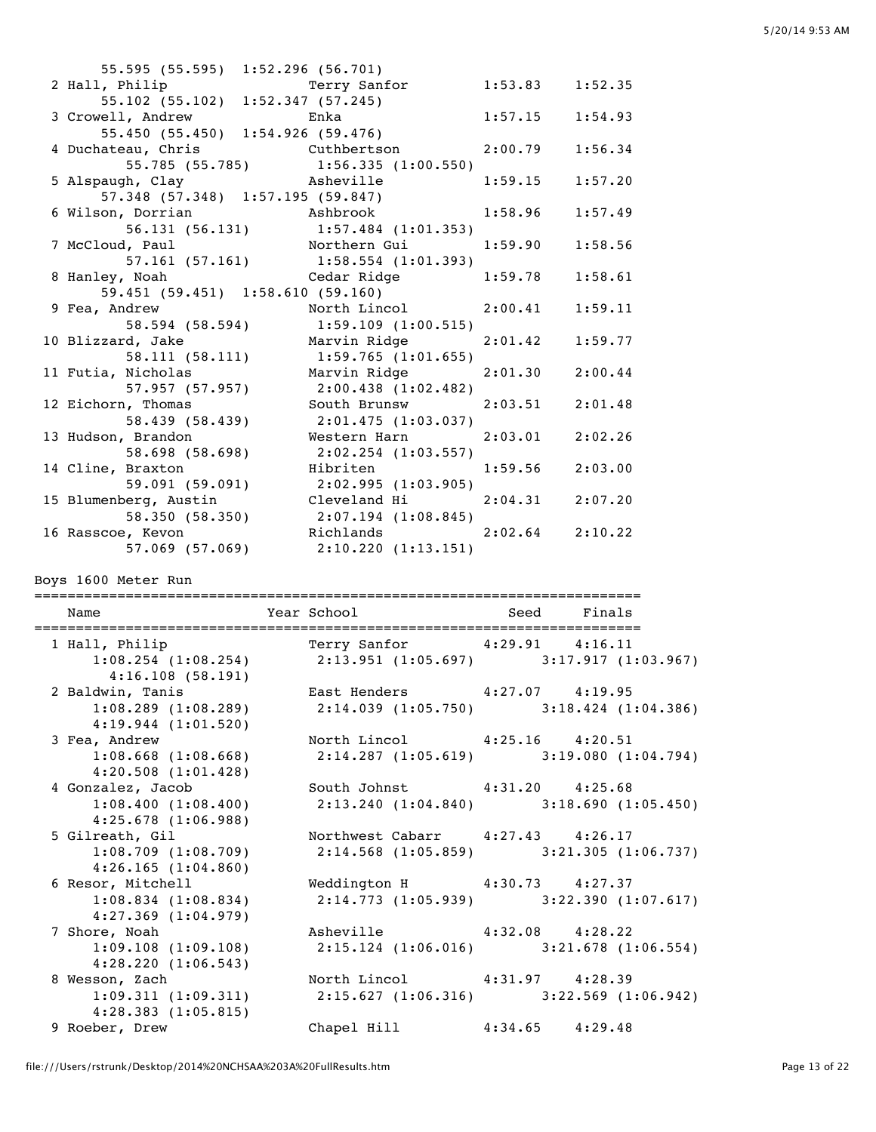| 55.595 (55.595) 1:52.296 (56.701)                        |                                                                        |                     |         |
|----------------------------------------------------------|------------------------------------------------------------------------|---------------------|---------|
| 2 Hall, Philip                                           | Terry Sanfor 1:53.83 1:52.35                                           |                     |         |
| rerry sant:<br>11.52.347 (57.245) 55.102 (55.102) 57.245 |                                                                        |                     |         |
| 3 Crowell, Andrew                                        | <b>Enka</b>                                                            | 1:57.15             | 1:54.93 |
| 55.450 (55.450) 1:54.926 (59.476)                        |                                                                        |                     |         |
|                                                          | 4 Duchateau, Chris Cuthbertson                                         | $2:00.79$ 1:56.34   |         |
|                                                          | 55.785 (55.785) 1:56.335 (1:00.550)                                    |                     |         |
|                                                          | 5 Alspaugh, Clay<br>57.348 (57.348) 1:57.195 (59.847) 1:59.15 1:57.20  |                     |         |
|                                                          |                                                                        |                     |         |
|                                                          | 6 Wilson, Dorrian<br>Ashbrook 1:58.96 1:57.49                          |                     |         |
|                                                          | 56.131 (56.131) 1:57.484 (1:01.353)                                    |                     |         |
|                                                          | 7 McCloud, Paul 1:59.90 1:58.56<br>57.161 (57.161) 1:58.554 (1:01.393) |                     |         |
|                                                          |                                                                        |                     |         |
| 8 Hanley, Noah                                           | Cedar Ridge 1:59.78                                                    |                     | 1:58.61 |
|                                                          | 59.451 (59.451) 1:58.610 (59.160)                                      |                     |         |
| 9 Fea, Andrew                                            | North Lincol 2:00.41 1:59.11                                           |                     |         |
|                                                          | 58.594 (58.594) 1:59.109 (1:00.515)                                    |                     |         |
| 10 Blizzard, Jake                                        | Marvin Ridge 2:01.42                                                   |                     | 1:59.77 |
|                                                          | 58.111 (58.111) 1:59.765 (1:01.655)                                    |                     |         |
| 11 Futia, Nicholas                                       | Marvin Ridge 2:01.30 2:00.44                                           |                     |         |
|                                                          | 57.957 (57.957) 2:00.438 (1:02.482)                                    |                     |         |
| 12 Eichorn, Thomas                                       | South Brunsw                                                           | $2:03.51$ $2:01.48$ |         |
|                                                          | 58.439 (58.439) 2:01.475 (1:03.037)                                    |                     |         |
| 13 Hudson, Brandon                                       | Western Harn 2:03.01                                                   |                     | 2:02.26 |
| 58.698 (58.698)                                          | 2:02.254 (1:03.557)                                                    |                     |         |
| 14 Cline, Braxton                                        | Hibriten                                                               | $1:59.56$ $2:03.00$ |         |
|                                                          | 59.091 (59.091) 2:02.995 (1:03.905)                                    |                     |         |
| 15 Blumenberg, Austin                                    | Cleveland Hi 2:04.31                                                   |                     | 2:07.20 |
|                                                          | 58.350 (58.350) 2:07.194 (1:08.845)                                    |                     |         |
| 16 Rasscoe, Kevon                                        | Richlands 2:02.64 2:10.22                                              |                     |         |
|                                                          | 57.069 (57.069) 2:10.220 (1:13.151)                                    |                     |         |

Boys 1600 Meter Run

| Name                    | Year School and Seed Finals                                   |                                                                                                                |
|-------------------------|---------------------------------------------------------------|----------------------------------------------------------------------------------------------------------------|
|                         |                                                               | $1:08.254$ (1:08.254) 2:13.951 (1:05.697) 3:17.917 (1:03.967)                                                  |
| 4:16.108(58.191)        |                                                               |                                                                                                                |
|                         |                                                               |                                                                                                                |
| 4:19.944(1:01.520)      |                                                               | 2 Baldwin, Tanis 6 East Henders 4:27.07 4:19.95<br>1:08.289 (1:08.289) 2:14.039 (1:05.750) 3:18.424 (1:04.386) |
| 3 Fea, Andrew           | North Lincol 4:25.16 4:20.51                                  |                                                                                                                |
| 4:20.508(1:01.428)      |                                                               | $1:08.668$ (1:08.668) $2:14.287$ (1:05.619) $3:19.080$ (1:04.794)                                              |
| 4 Gonzalez, Jacob       | South Johnst 4:31.20 4:25.68                                  |                                                                                                                |
| 4:25.678 (1:06.988)     |                                                               | 1:08.400 (1:08.400) 2:13.240 (1:04.840) 3:18.690 (1:05.450)                                                    |
|                         | 5 Gilreath, Gil Morthwest Cabarr 4:27.43 4:26.17              |                                                                                                                |
| 4:26.165(1:04.860)      |                                                               | $1:08.709$ (1:08.709) $2:14.568$ (1:05.859) $3:21.305$ (1:06.737)                                              |
| 6 Resor, Mitchell       | Weddington H 4:30.73 4:27.37                                  |                                                                                                                |
| $4:27.369$ $(1:04.979)$ |                                                               | $1:08.834$ (1:08.834) $2:14.773$ (1:05.939) $3:22.390$ (1:07.617)                                              |
|                         | 7 Shore, Noah             Asheville         4:32.08   4:28.22 |                                                                                                                |
| 4:28.220(1:06.543)      |                                                               | $1:09.108$ (1:09.108) $2:15.124$ (1:06.016) $3:21.678$ (1:06.554)                                              |
|                         | 8 Wesson, Zach         North Lincol       4:31.97     4:28.39 |                                                                                                                |
| $4:28.383$ $(1:05.815)$ |                                                               | $1:09.311$ $(1:09.311)$ $2:15.627$ $(1:06.316)$ $3:22.569$ $(1:06.942)$                                        |
| 9 Roeber, Drew          | Chapel Hill 4:34.65 4:29.48                                   |                                                                                                                |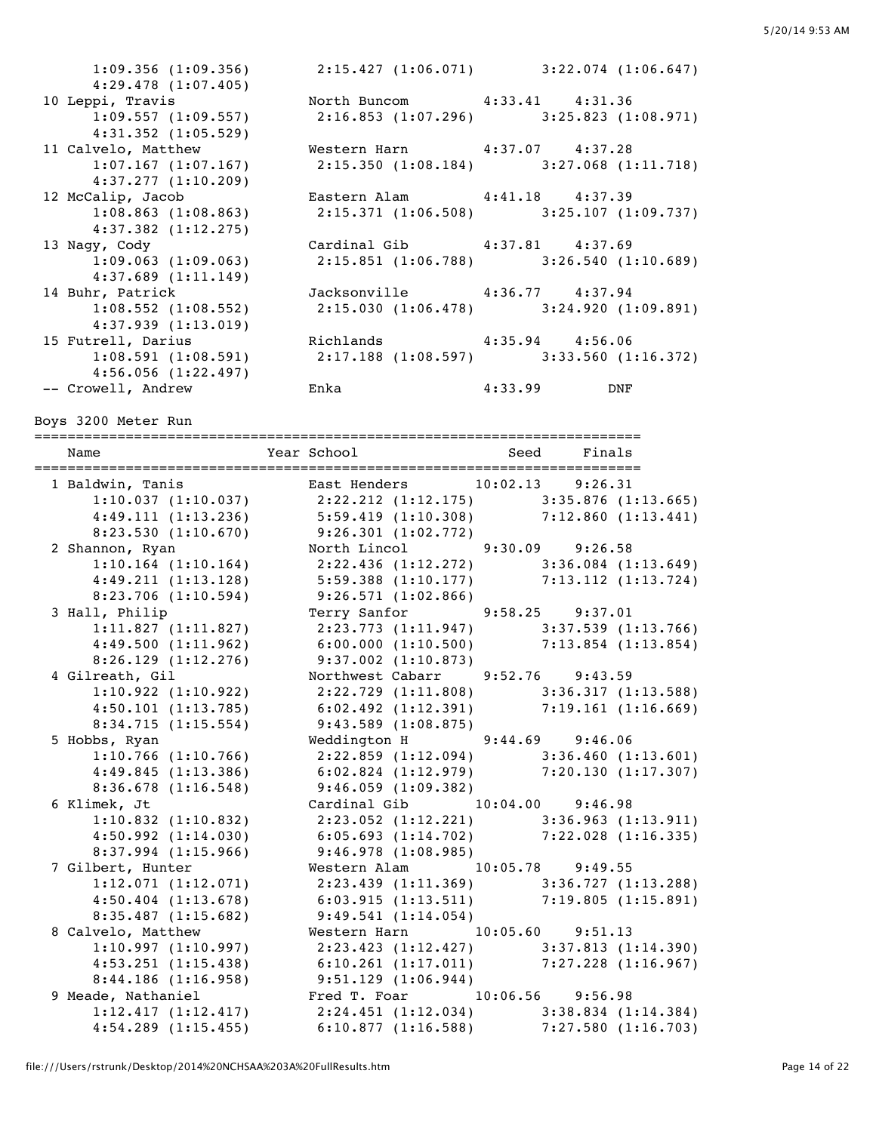1:09.356 (1:09.356) 2:15.427 (1:06.071) 3:22.074 (1:06.647) 4:29.478 (1:07.405) 10 Leppi, Travis 10 North Buncom 4:33.41 4:31.36 1:09.557 (1:09.557) 2:16.853 (1:07.296) 3:25.823 (1:08.971) 4:31.352 (1:05.529) 11 Calvelo, Matthew Western Harn 4:37.07 4:37.28<br>1:07.167 (1:07.167) 2:15.350 (1:08.184) 3:27.068 (1 1:07.167 (1:07.167) 2:15.350 (1:08.184) 3:27.068 (1:11.718) 4:37.277 (1:10.209) 12 McCalip, Jacob Eastern Alam 4:41.18 4:37.39 1:08.863 (1:08.863) 2:15.371 (1:06.508) 3:25.107 (1:09.737) 4:37.382 (1:12.275) 13 Nagy, Cody (1:09.063) Cardinal Gib 4:37.81 4:37.69<br>1:09.063 (1:09.063) 2:15.851 (1:06.788) 3:26.540 (1 1:09.063 (1:09.063) 2:15.851 (1:06.788) 3:26.540 (1:10.689) 4:37.689 (1:11.149) 14 Buhr, Patrick Jacksonville 4:36.77 4:37.94 1:08.552 (1:08.552) 2:15.030 (1:06.478) 3:24.920 (1:09.891) 4:37.939 (1:13.019) 15 Futrell, Darius Richlands 4:35.94 4:56.06 1:08.591 (1:08.591) 2:17.188 (1:08.597) 3:33.560 (1:16.372)  $4:56.056$  (1:22.497) -- Crowell, Andrew Enka 4:33.99 DNF

Boys 3200 Meter Run

========================================================================= Name Year School Seed Finals ========================================================================= 1 Baldwin, Tanis East Henders 10:02.13 9:26.31 1:10.037 (1:10.037) 2:22.212 (1:12.175) 3:35.876 (1:13.665) 4:49.111 (1:13.236) 5:59.419 (1:10.308) 7:12.860 (1:13.441) 8:23.530 (1:10.670) 9:26.301 (1:02.772) 2 Shannon, Ryan North Lincol 9:30.09 9:26.58 1:10.164 (1:10.164) 2:22.436 (1:12.272) 3:36.084 (1:13.649) 4:49.211 (1:13.128) 5:59.388 (1:10.177) 7:13.112 (1:13.724) 8:23.706 (1:10.594) 9:26.571 (1:02.866) 3 Hall, Philip Terry Sanfor 9:58.25 9:37.01 1:11.827 (1:11.827) 2:23.773 (1:11.947) 3:37.539 (1:13.766) 4:49.500 (1:11.962) 6:00.000 (1:10.500) 7:13.854 (1:13.854) 8:26.129 (1:12.276) 9:37.002 (1:10.873) 4 Gilreath, Gil Northwest Cabarr 9:52.76 9:43.59 1:10.922 (1:10.922) 2:22.729 (1:11.808) 3:36.317 (1:13.588) 4:50.101 (1:13.785) 6:02.492 (1:12.391) 7:19.161 (1:16.669) 8:34.715 (1:15.554) 9:43.589 (1:08.875) 5 Hobbs, Ryan Weddington H 9:44.69 9:46.06 1:10.766 (1:10.766) 2:22.859 (1:12.094) 3:36.460 (1:13.601) 4:49.845 (1:13.386) 6:02.824 (1:12.979) 7:20.130 (1:17.307) 8:36.678 (1:16.548) 9:46.059 (1:09.382) 6 Klimek, Jt Cardinal Gib 10:04.00 9:46.98 1:10.832 (1:10.832) 2:23.052 (1:12.221) 3:36.963 (1:13.911) 4:50.992 (1:14.030) 6:05.693 (1:14.702) 7:22.028 (1:16.335) 8:37.994 (1:15.966) 9:46.978 (1:08.985) 7 Gilbert, Hunter Western Alam 10:05.78 9:49.55 1:12.071 (1:12.071) 2:23.439 (1:11.369) 3:36.727 (1:13.288) 4:50.404 (1:13.678) 6:03.915 (1:13.511) 7:19.805 (1:15.891) 8:35.487 (1:15.682) 9:49.541 (1:14.054) 8 Calvelo, Matthew Western Harn 10:05.60 9:51.13 1:10.997 (1:10.997) 2:23.423 (1:12.427) 3:37.813 (1:14.390) 4:53.251 (1:15.438) 6:10.261 (1:17.011) 7:27.228 (1:16.967) 8:44.186 (1:16.958) 9:51.129 (1:06.944) 9 Meade, Nathaniel Fred T. Foar 10:06.56 9:56.98 1:12.417 (1:12.417) 2:24.451 (1:12.034) 3:38.834 (1:14.384) 4:54.289 (1:15.455) 6:10.877 (1:16.588) 7:27.580 (1:16.703)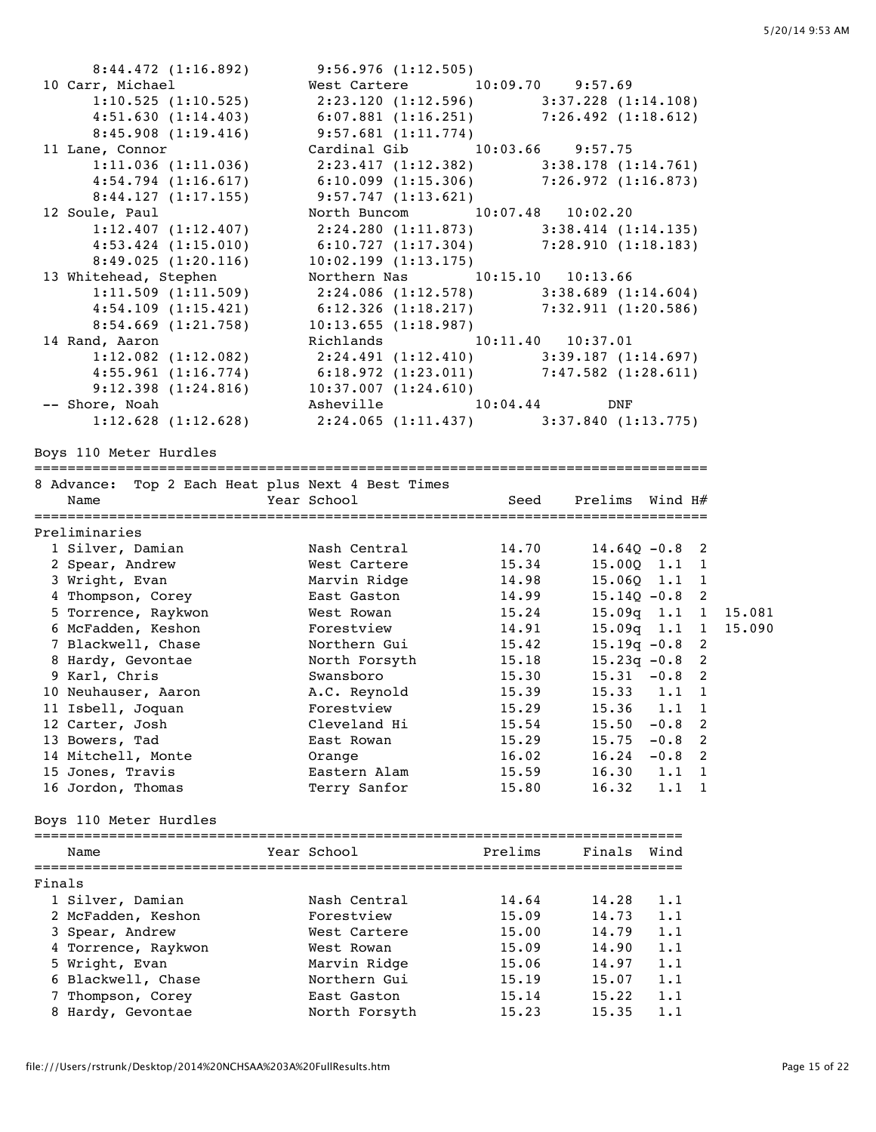|        | 8:44.472 (1:16.892)                               | 9:56.976 (1:12.505)                                                                |         |                   |             |                |        |
|--------|---------------------------------------------------|------------------------------------------------------------------------------------|---------|-------------------|-------------|----------------|--------|
|        | 10 Carr, Michael                                  | West Cartere 10:09.70 9:57.69                                                      |         |                   |             |                |        |
|        | 1:10.525(1:10.525)                                | $2:23.120$ (1:12.596) $3:37.228$ (1:14.108)                                        |         |                   |             |                |        |
|        | 4:51.630(1:14.403)                                | $6:07.881$ (1:16.251) $7:26.492$ (1:18.612)                                        |         |                   |             |                |        |
|        | 8:45.908(1:19.416)                                | 9:57.681(1:11.774)                                                                 |         |                   |             |                |        |
|        | 11 Lane, Connor                                   | Cardinal Gib 10:03.66 9:57.75                                                      |         |                   |             |                |        |
|        | 1:11.036(1:11.036)                                | $2:23.417$ (1:12.382) 3:38.178 (1:14.761)                                          |         |                   |             |                |        |
|        | 4:54.794(1:16.617)                                | $6:10.099$ $(1:15.306)$ $7:26.972$ $(1:16.873)$                                    |         |                   |             |                |        |
|        | 8:44.127(1:17.155)                                | 9:57.747(1:13.621)                                                                 |         |                   |             |                |        |
|        | 12 Soule, Paul                                    | North Buncom 10:07.48 10:02.20                                                     |         |                   |             |                |        |
|        | 1:12.407(1:12.407)                                | 2:24.280 (1:11.873) 3:38.414 (1:14.135)                                            |         |                   |             |                |        |
|        | $4:53.424$ $(1:15.010)$                           | 6:10.727 (1:17.304) 7:28.910 (1:18.183)                                            |         |                   |             |                |        |
|        | 8:49.025(1:20.116)                                | 10:02.199(1:13.175)                                                                |         |                   |             |                |        |
|        | 13 Whitehead, Stephen                             | Northern Nas 10:15.10 10:13.66                                                     |         |                   |             |                |        |
|        | 1:11.509(1:11.509)                                | $2:24.086$ (1:12.578) 3:38.689 (1:14.604)                                          |         |                   |             |                |        |
|        | 4:54.109(1:15.421)                                | $6:12.326$ (1:18.217) $7:32.911$ (1:20.586)                                        |         |                   |             |                |        |
|        | 8:54.669 (1:21.758)                               | 10:13.655(1:18.987)                                                                |         |                   |             |                |        |
|        | 14 Rand, Aaron                                    | Richlands 10:11.40 10:37.01                                                        |         |                   |             |                |        |
|        | $1:12.082$ $(1:12.082)$                           | 2:24.491 (1:12.410) 3:39.187 (1:14.697)<br>6:18.972 (1:23.011) 7:47.582 (1:28.611) |         |                   |             |                |        |
|        | 4:55.961(1:16.774)                                |                                                                                    |         |                   |             |                |        |
|        | 9:12.398(1:24.816)                                | 10:37.007(1:24.610)                                                                |         |                   |             |                |        |
|        | -- Shore, Noah                                    | Asheville 10:04.44                                                                 |         | DNF               |             |                |        |
|        | 1:12.628(1:12.628)                                | $2:24.065$ (1:11.437) 3:37.840 (1:13.775)                                          |         |                   |             |                |        |
|        | Boys 110 Meter Hurdles                            |                                                                                    |         |                   |             |                |        |
|        |                                                   |                                                                                    |         |                   |             |                |        |
|        | 8 Advance: Top 2 Each Heat plus Next 4 Best Times |                                                                                    |         |                   |             |                |        |
|        | Name                                              | Year School                                                                        | Seed    | Prelims Wind $H#$ |             |                |        |
|        |                                                   |                                                                                    |         |                   |             |                |        |
|        |                                                   |                                                                                    |         |                   |             |                |        |
|        | Preliminaries                                     |                                                                                    |         |                   |             |                |        |
|        | 1 Silver, Damian                                  | Nash Central                                                                       | 14.70   | $14.64Q - 0.8$ 2  |             |                |        |
|        | 2 Spear, Andrew                                   | West Cartere                                                                       | 15.34   | 15.00Q 1.1        |             | 1              |        |
|        | 3 Wright, Evan                                    | Marvin Ridge                                                                       | 14.98   | $15.06Q$ $1.1$    |             | 1              |        |
|        | 4 Thompson, Corey                                 | East Gaston                                                                        | 14.99   | $15.14Q - 0.8$ 2  |             |                |        |
|        | 5 Torrence, Raykwon                               | West Rowan                                                                         | 15.24   | $15.09q$ 1.1 1    |             |                | 15.081 |
|        | 6 McFadden, Keshon                                | Forestview                                                                         | 14.91   | $15.09q$ 1.1 1    |             |                | 15.090 |
|        | 7 Blackwell, Chase                                | Northern Gui                                                                       | 15.42   | $15.19q - 0.8$    |             | 2              |        |
|        | 8 Hardy, Gevontae                                 | North Forsyth                                                                      | 15.18   | $15.23q -0.8$     |             | 2              |        |
|        | 9 Karl, Chris                                     | Swansboro                                                                          | 15.30   | $15.31 - 0.8$     |             | 2              |        |
|        | 10 Neuhauser, Aaron                               | A.C. Reynold                                                                       | 15.39   | 15.33             | 1.1         | 1              |        |
|        | 11 Isbell, Joquan                                 | Forestview                                                                         | 15.29   | 15.36             | 1.1         | $\mathbf{1}$   |        |
|        | 12 Carter, Josh                                   | Cleveland Hi                                                                       | 15.54   | 15.50             | $-0.8$      | $\overline{c}$ |        |
|        | 13 Bowers, Tad                                    | East Rowan                                                                         | 15.29   | 15.75             | $-0.8$      | 2              |        |
|        | 14 Mitchell, Monte                                | Orange                                                                             | 16.02   | 16.24             | $-0.8$      | 2              |        |
|        | 15 Jones, Travis                                  | Eastern Alam                                                                       | 15.59   | 16.30             | 1.1         | 1              |        |
|        | 16 Jordon, Thomas                                 | Terry Sanfor                                                                       | 15.80   | 16.32             | $1 \cdot 1$ | 1              |        |
|        |                                                   |                                                                                    |         |                   |             |                |        |
|        | Boys 110 Meter Hurdles                            |                                                                                    |         |                   |             |                |        |
|        |                                                   |                                                                                    |         |                   |             |                |        |
|        | Name                                              | Year School                                                                        | Prelims | Finals Wind       |             |                |        |
| Finals |                                                   |                                                                                    |         |                   |             |                |        |
|        | 1 Silver, Damian                                  | Nash Central                                                                       | 14.64   | 14.28             | 1.1         |                |        |
|        | 2 McFadden, Keshon                                | Forestview                                                                         | 15.09   | 14.73             | 1.1         |                |        |
|        |                                                   | West Cartere                                                                       | 15.00   | 14.79             | 1.1         |                |        |
|        | 3 Spear, Andrew<br>4 Torrence, Raykwon            | West Rowan                                                                         | 15.09   | 14.90             | 1.1         |                |        |
|        |                                                   | Marvin Ridge                                                                       | 15.06   | 14.97             | 1.1         |                |        |
|        | 5 Wright, Evan                                    | Northern Gui                                                                       | 15.19   | 15.07             | 1.1         |                |        |
|        | 6 Blackwell, Chase<br>7 Thompson, Corey           | East Gaston                                                                        | 15.14   | 15.22             | 1.1         |                |        |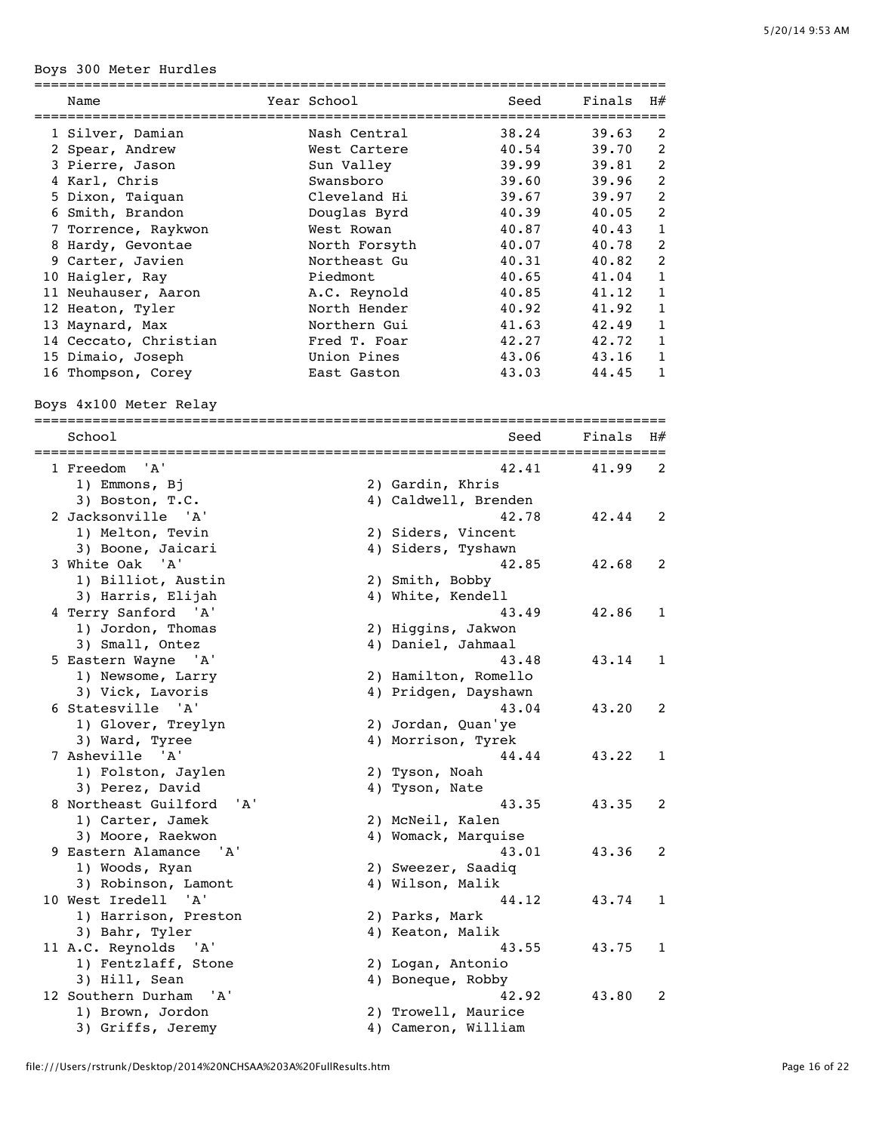Boys 300 Meter Hurdles

| ---------                   |               | ;=================== |        |              |
|-----------------------------|---------------|----------------------|--------|--------------|
| Name                        | Year School   | Seed                 | Finals | H#           |
| 1 Silver, Damian            | Nash Central  | 38.24                | 39.63  | 2            |
| 2 Spear, Andrew             | West Cartere  | 40.54                | 39.70  | 2            |
| 3 Pierre, Jason             | Sun Valley    | 39.99                | 39.81  | 2            |
| 4 Karl, Chris               | Swansboro     | 39.60                | 39.96  | 2            |
| 5 Dixon, Taiquan            | Cleveland Hi  | 39.67                | 39.97  | 2            |
| 6 Smith, Brandon            | Douglas Byrd  | 40.39                | 40.05  | 2            |
| 7 Torrence, Raykwon         | West Rowan    | 40.87                | 40.43  | 1            |
| 8 Hardy, Gevontae           | North Forsyth | 40.07                | 40.78  | 2            |
| 9 Carter, Javien            | Northeast Gu  | 40.31                | 40.82  | 2            |
| 10 Haigler, Ray             | Piedmont      | 40.65                | 41.04  | 1            |
| 11 Neuhauser, Aaron         | A.C. Reynold  | 40.85                | 41.12  | $\mathbf{1}$ |
| 12 Heaton, Tyler            | North Hender  | 40.92                | 41.92  | $\mathbf{1}$ |
| 13 Maynard, Max             | Northern Gui  | 41.63                | 42.49  | $\mathbf{1}$ |
| 14 Ceccato, Christian       | Fred T. Foar  | 42.27                | 42.72  | 1            |
| 15 Dimaio, Joseph           | Union Pines   | 43.06                | 43.16  | 1            |
| 16 Thompson, Corey          | East Gaston   | 43.03                | 44.45  | 1            |
|                             |               |                      |        |              |
| Boys 4x100 Meter Relay      |               |                      |        |              |
| School                      |               | Seed                 | Finals | H#           |
| ==============              |               |                      |        |              |
| 1 Freedom<br>'A'            |               | 42.41                | 41.99  | 2            |
| 1) Emmons, Bj               |               | 2) Gardin, Khris     |        |              |
| 3) Boston, T.C.             |               | 4) Caldwell, Brenden |        |              |
| 2 Jacksonville 'A'          |               | 42.78                | 42.44  | 2            |
| 1) Melton, Tevin            |               | 2) Siders, Vincent   |        |              |
| 3) Boone, Jaicari           |               | 4) Siders, Tyshawn   |        |              |
| 3 White Oak 'A'             |               | 42.85                | 42.68  | 2            |
| 1) Billiot, Austin          |               | 2) Smith, Bobby      |        |              |
| 3) Harris, Elijah           |               | 4) White, Kendell    |        |              |
| 4 Terry Sanford 'A'         |               | 43.49                | 42.86  | 1            |
| 1) Jordon, Thomas           |               | 2) Higgins, Jakwon   |        |              |
| 3) Small, Ontez             |               | 4) Daniel, Jahmaal   |        |              |
| 5 Eastern Wayne<br>' A '    |               | 43.48                | 43.14  | 1            |
| 1) Newsome, Larry           |               | 2) Hamilton, Romello |        |              |
| 3) Vick, Lavoris            |               | 4) Pridgen, Dayshawn |        |              |
| 6 Statesville<br>"A'        |               | 43.04                | 43.20  | 2            |
| 1) Glover, Treylyn          |               | 2) Jordan, Quan'ye   |        |              |
| 3) Ward, Tyree              |               | 4) Morrison, Tyrek   |        |              |
| 7 Asheville 'A'             |               | 44.44                | 43.22  | 1            |
| 1) Folston, Jaylen          |               | 2) Tyson, Noah       |        |              |
| 3) Perez, David             |               | 4) Tyson, Nate       |        |              |
| 8 Northeast Guilford<br>'A' |               | 43.35                | 43.35  | 2            |
| 1) Carter, Jamek            |               | 2) McNeil, Kalen     |        |              |
| 3) Moore, Raekwon           |               | 4) Womack, Marquise  |        |              |
| 9 Eastern Alamance<br>'A'   |               | 43.01                | 43.36  | 2            |
| 1) Woods, Ryan              |               | 2) Sweezer, Saadiq   |        |              |
| 3) Robinson, Lamont         |               | 4) Wilson, Malik     |        |              |
| 10 West Iredell 'A'         |               | 44.12                | 43.74  | 1            |
| 1) Harrison, Preston        |               | 2) Parks, Mark       |        |              |
| 3) Bahr, Tyler              |               | 4) Keaton, Malik     |        |              |
| 11 A.C. Reynolds<br>' A '   |               | 43.55                | 43.75  | 1            |
| 1) Fentzlaff, Stone         |               | 2) Logan, Antonio    |        |              |
| 3) Hill, Sean               |               | 4) Boneque, Robby    |        |              |
| 12 Southern Durham<br>'A'   |               | 42.92                | 43.80  | 2            |
| 1) Brown, Jordon            |               | 2) Trowell, Maurice  |        |              |
| 3) Griffs, Jeremy           |               | 4) Cameron, William  |        |              |

file:///Users/rstrunk/Desktop/2014%20NCHSAA%203A%20FullResults.htm Page 16 of 22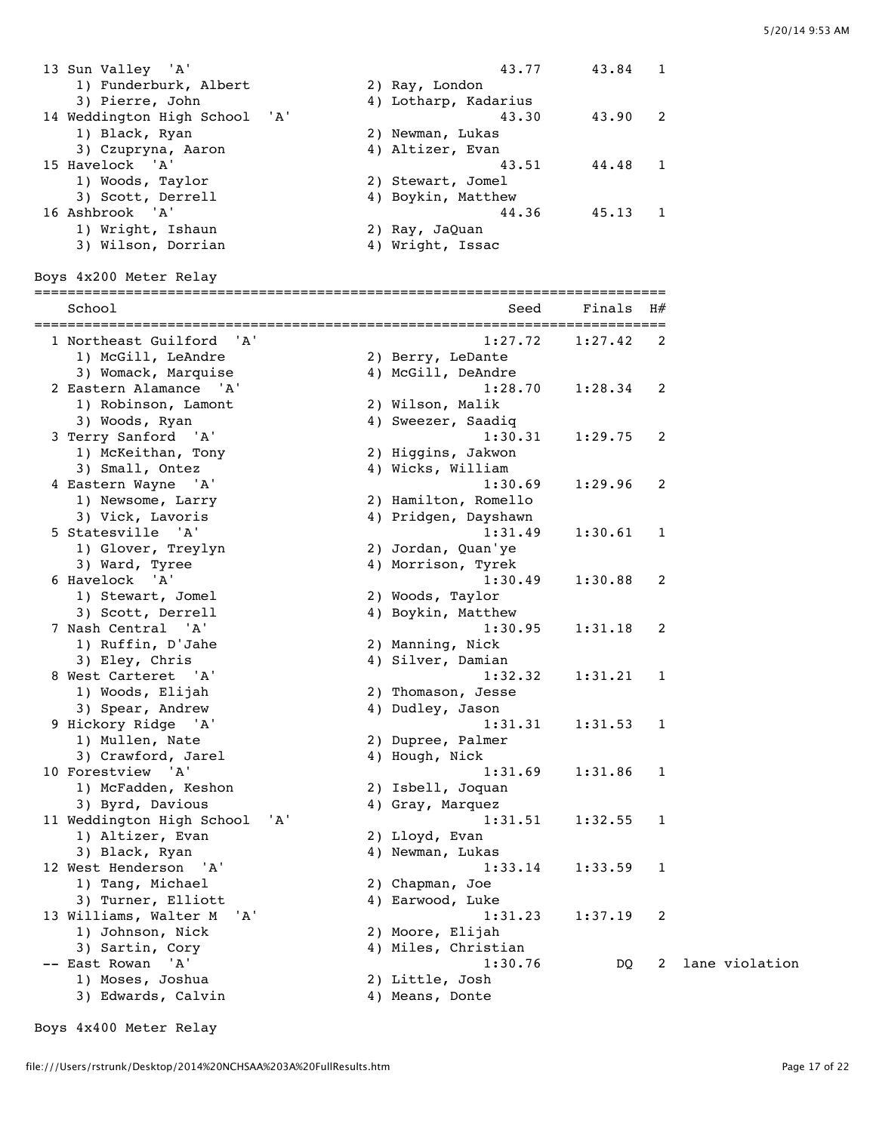| 13 Sun Valley 'A'             | 43.77                | 43.84   |  |
|-------------------------------|----------------------|---------|--|
| 1) Funderburk, Albert         | 2) Ray, London       |         |  |
| 3) Pierre, John               | 4) Lotharp, Kadarius |         |  |
| 14 Weddington High School 'A' | 43.30                | 43.90 2 |  |
| 1) Black, Ryan                | 2) Newman, Lukas     |         |  |
| 3) Czupryna, Aaron            | 4) Altizer, Evan     |         |  |
| 15 Havelock 'A'               | 43.51                | 44.48   |  |
| 1) Woods, Taylor              | 2) Stewart, Jomel    |         |  |
| 3) Scott, Derrell             | 4) Boykin, Matthew   |         |  |
| 16 Ashbrook 'A'               | 44.36                | 45.13   |  |
| 1) Wright, Ishaun             | 2) Ray, JaQuan       |         |  |
| 3) Wilson, Dorrian            | 4) Wright, Issac     |         |  |

============================================================================

Boys 4x200 Meter Relay

| School<br>================                          | Seed                          | Finals<br>======== | H#           |
|-----------------------------------------------------|-------------------------------|--------------------|--------------|
| 1 Northeast Guilford<br>' A '<br>1) McGill, LeAndre | 1:27.72<br>2) Berry, LeDante  | 1:27.42            | 2            |
| 3) Womack, Marquise                                 | 4) McGill, DeAndre            |                    |              |
| 2 Eastern Alamance 'A'                              | 1:28.70                       | 1:28.34            | 2            |
| 1) Robinson, Lamont                                 | 2) Wilson, Malik              |                    |              |
| 3) Woods, Ryan                                      | 4) Sweezer, Saadiq            |                    |              |
| 3 Terry Sanford 'A'                                 | 1:30.31                       | 1:29.75            | 2            |
| 1) McKeithan, Tony                                  | 2) Higgins, Jakwon            |                    |              |
| 3) Small, Ontez                                     | 4) Wicks, William             |                    |              |
| 4 Eastern Wayne 'A'                                 | 1:30.69                       | 1:29.96            | 2            |
| 1) Newsome, Larry                                   | 2) Hamilton, Romello          |                    |              |
| 3) Vick, Lavoris                                    | 4) Pridgen, Dayshawn          |                    |              |
| 5 Statesville 'A'                                   | 1:31.49                       | 1:30.61            | 1            |
| 1) Glover, Treylyn                                  | 2) Jordan, Quan'ye            |                    |              |
| 3) Ward, Tyree                                      | 4) Morrison, Tyrek            |                    |              |
| 6 Havelock 'A'                                      | 1:30.49                       | 1:30.88            | 2            |
| 1) Stewart, Jomel                                   | 2) Woods, Taylor              |                    |              |
| 3) Scott, Derrell<br>7 Nash Central<br>' A '        | 4) Boykin, Matthew<br>1:30.95 | 1:31.18            | 2            |
| 1) Ruffin, D'Jahe                                   | 2) Manning, Nick              |                    |              |
| 3) Eley, Chris                                      | 4) Silver, Damian             |                    |              |
| 8 West Carteret 'A'                                 | 1:32.32                       | 1:31.21            | 1            |
| 1) Woods, Elijah                                    | 2) Thomason, Jesse            |                    |              |
| 3) Spear, Andrew                                    | 4) Dudley, Jason              |                    |              |
| 9 Hickory Ridge 'A'                                 | 1:31.31                       | 1:31.53            | 1            |
| 1) Mullen, Nate                                     | 2) Dupree, Palmer             |                    |              |
| 3) Crawford, Jarel                                  | 4) Hough, Nick                |                    |              |
| 10 Forestview 'A'                                   | 1:31.69                       | 1:31.86            | 1            |
| 1) McFadden, Keshon                                 | 2) Isbell, Joquan             |                    |              |
| 3) Byrd, Davious                                    | 4) Gray, Marquez              |                    |              |
| 11 Weddington High School<br>'A'                    | 1:31.51                       | 1:32.55            | $\mathbf{1}$ |
| 1) Altizer, Evan                                    | 2) Lloyd, Evan                |                    |              |
| 3) Black, Ryan                                      | 4) Newman, Lukas              |                    |              |
| 12 West Henderson 'A'                               | 1:33.14                       | 1:33.59            | 1            |
| 1) Tang, Michael                                    | 2) Chapman, Joe               |                    |              |
| 3) Turner, Elliott                                  | 4) Earwood, Luke              |                    |              |
| 13 Williams, Walter M<br>'A'                        | 1:31.23                       | 1:37.19            | 2            |
| 1) Johnson, Nick                                    | 2) Moore, Elijah              |                    |              |
| 3) Sartin, Cory                                     | 4) Miles, Christian           |                    |              |
| ' A '<br>-- East Rowan                              | 1:30.76                       | DQ                 | 2            |
| 1) Moses, Joshua                                    | 2) Little, Josh               |                    |              |
| 3) Edwards, Calvin                                  | 4) Means, Donte               |                    |              |
|                                                     |                               |                    |              |

Boys 4x400 Meter Relay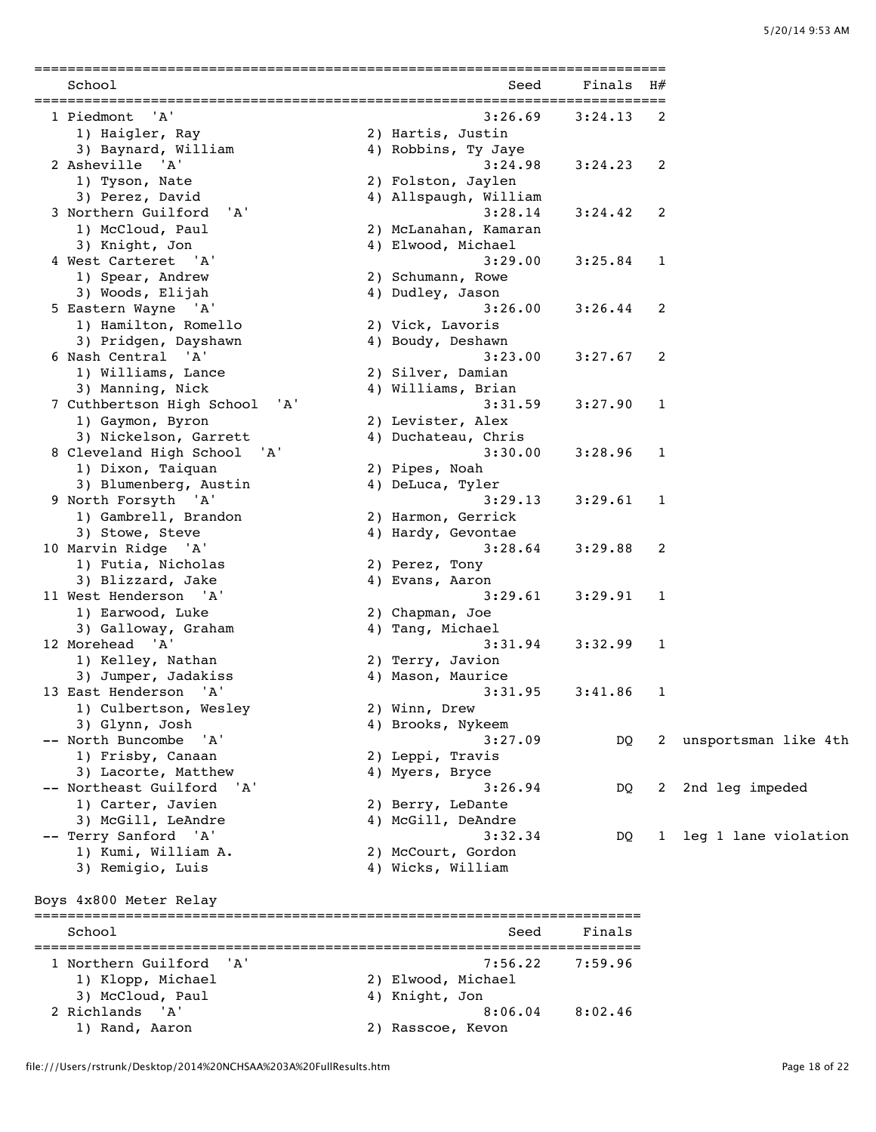| School                                                           | Seed                           | Finals  | H#        |                        |
|------------------------------------------------------------------|--------------------------------|---------|-----------|------------------------|
| 1 Piedmont<br>'A'                                                | 3:26.69                        | 3:24.13 | 2         |                        |
| 1) Haigler, Ray                                                  | 2) Hartis, Justin              |         |           |                        |
| 3) Baynard, William                                              | 4) Robbins, Ty Jaye            |         |           |                        |
| 2 Asheville 'A'                                                  | 3:24.98                        | 3:24.23 | 2         |                        |
| 1) Tyson, Nate                                                   | 2) Folston, Jaylen             |         |           |                        |
| 3) Perez, David                                                  | 4) Allspaugh, William          |         |           |                        |
| 3 Northern Guilford<br>'A'                                       | 3:28.14                        | 3:24.42 | 2         |                        |
| 1) McCloud, Paul                                                 | 2) McLanahan, Kamaran          |         |           |                        |
| 3) Knight, Jon                                                   | 4) Elwood, Michael             |         |           |                        |
| 4 West Carteret 'A'                                              | 3:29.00                        | 3:25.84 | 1         |                        |
| 1) Spear, Andrew                                                 | 2) Schumann, Rowe              |         |           |                        |
| 3) Woods, Elijah                                                 | 4) Dudley, Jason               |         |           |                        |
| 5 Eastern Wayne 'A'                                              | 3:26.00                        | 3:26.44 | 2         |                        |
| 1) Hamilton, Romello                                             | 2) Vick, Lavoris               |         |           |                        |
| 3) Pridgen, Dayshawn                                             | 4) Boudy, Deshawn              |         |           |                        |
| 6 Nash Central 'A'                                               | 3:23.00                        | 3:27.67 | 2         |                        |
| 1) Williams, Lance                                               | 2) Silver, Damian              |         |           |                        |
| 3) Manning, Nick                                                 | 4) Williams, Brian             |         |           |                        |
| 7 Cuthbertson High School<br>'A'                                 | 3:31.59                        | 3:27.90 | 1         |                        |
| 1) Gaymon, Byron                                                 | 2) Levister, Alex              |         |           |                        |
| 3) Nickelson, Garrett                                            | 4) Duchateau, Chris            |         |           |                        |
| 8 Cleveland High School<br>'A'                                   | 3:30.00                        | 3:28.96 | 1         |                        |
| 1) Dixon, Taiquan                                                | 2) Pipes, Noah                 |         |           |                        |
|                                                                  |                                |         |           |                        |
| 3) Blumenberg, Austin                                            | 4) DeLuca, Tyler               |         |           |                        |
| 9 North Forsyth 'A'                                              | 3:29.13                        | 3:29.61 | 1         |                        |
| 1) Gambrell, Brandon                                             | 2) Harmon, Gerrick             |         |           |                        |
| 3) Stowe, Steve                                                  | 4) Hardy, Gevontae             |         |           |                        |
| 10 Marvin Ridge 'A'                                              | 3:28.64                        | 3:29.88 | 2         |                        |
| 1) Futia, Nicholas                                               | 2) Perez, Tony                 |         |           |                        |
| 3) Blizzard, Jake                                                | 4) Evans, Aaron                |         |           |                        |
| 11 West Henderson 'A'                                            | 3:29.61                        | 3:29.91 | 1         |                        |
| 1) Earwood, Luke                                                 | 2) Chapman, Joe                |         |           |                        |
| 3) Galloway, Graham                                              | 4) Tang, Michael               |         |           |                        |
| 12 Morehead 'A'                                                  | 3:31.94                        | 3:32.99 | 1         |                        |
| 1) Kelley, Nathan                                                | 2) Terry, Javion               |         |           |                        |
| 3) Jumper, Jadakiss                                              | 4) Mason, Maurice              |         |           |                        |
| 13 East Henderson 'A'                                            | 3:31.95                        | 3:41.86 | 1         |                        |
| 1) Culbertson, Wesley                                            | 2) Winn, Drew                  |         |           |                        |
| 3) Glynn, Josh                                                   | 4) Brooks, Nykeem              |         |           |                        |
| -- North Buncombe 'A'                                            | 3:27.09                        | DQ      |           | 2 unsportsman like 4th |
| 1) Frisby, Canaan                                                | 2) Leppi, Travis               |         |           |                        |
| 3) Lacorte, Matthew                                              | 4) Myers, Bryce                |         |           |                        |
| -- Northeast Guilford<br>'A'                                     | 3:26.94                        | DQ      | 2         | 2nd leg impeded        |
| 1) Carter, Javien                                                | 2) Berry, LeDante              |         |           |                        |
| 3) McGill, LeAndre                                               | 4) McGill, DeAndre             |         |           |                        |
| -- Terry Sanford 'A'                                             | 3:32.34                        | DQ      | $1 \quad$ | leg 1 lane violation   |
| 1) Kumi, William A.                                              | 2) McCourt, Gordon             |         |           |                        |
| 3) Remigio, Luis                                                 | 4) Wicks, William              |         |           |                        |
|                                                                  |                                |         |           |                        |
| Boys 4x800 Meter Relay<br>====================================== | ============================== |         |           |                        |
| School                                                           | Seed                           | Finals  |           |                        |
| 1 Northern Guilford<br>'A'                                       | 7:56.22                        | 7:59.96 |           |                        |
|                                                                  | 2) Elwood, Michael             |         |           |                        |
| 1) Klopp, Michael                                                |                                |         |           |                        |
|                                                                  |                                |         |           |                        |
| 3) McCloud, Paul<br>2 Richlands<br>'A'                           | 4) Knight, Jon<br>8:06.04      | 8:02.46 |           |                        |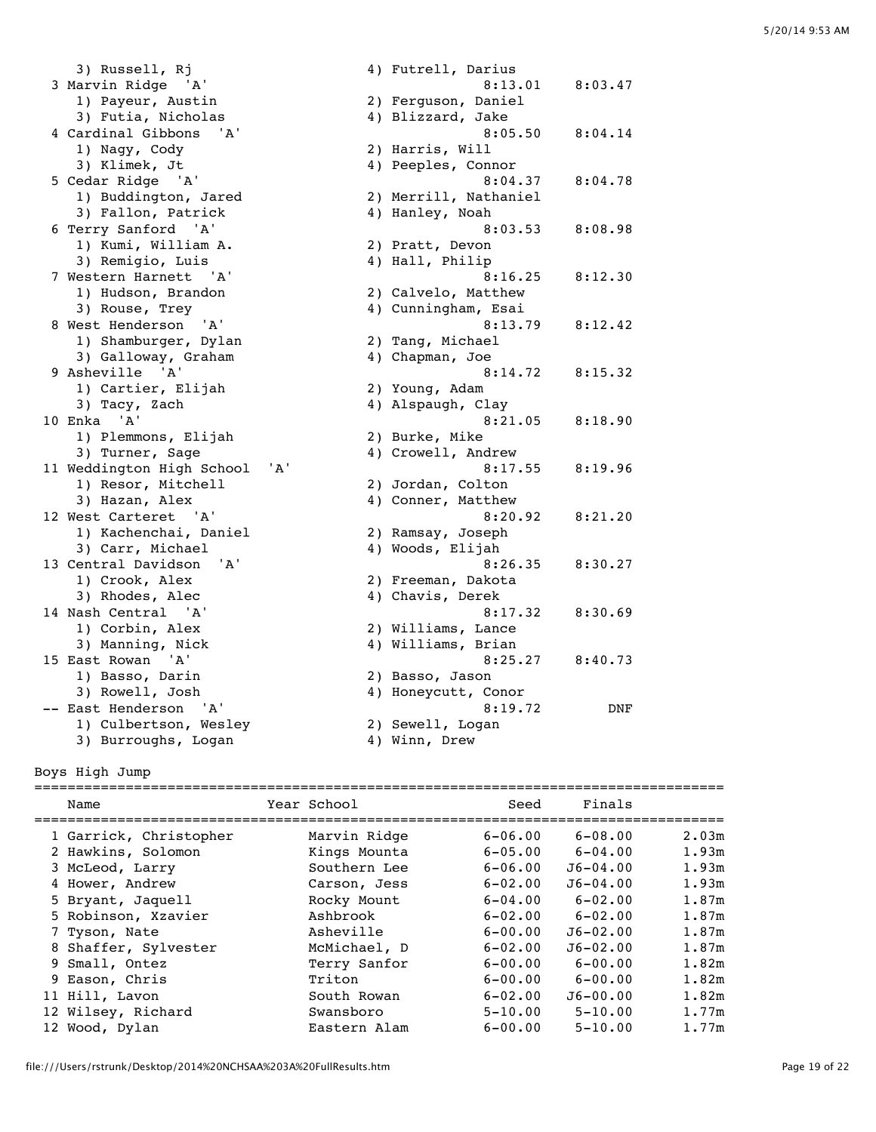3) Russell, Rj (4) Futrell, Darius 4) rutrell, Darlus<br>3 Marvin Ridge 'A' 8:13.01 8:03.47<br>1) Payeur, Austin 2) Ferguson, Daniel 1) Payeur, Austin 2) Ferguson, Daniel 3) Futia, Nicholas (4) Blizzard, Jake 4 Cardinal Gibbons 'A' 8:05.50 8:04.14 1) Nagy, Cody 2) Harris, Will 5 Cedar Ridge 'A' 1) Buddington, Jared 2) Merrill, Nathaniel 3) Fallon, Patrick (4) Hanley, Noah 6 Terry Sanford 'A' 8:03.53 8:08.98 1) Kumi, William A. 2) Pratt, Devon<br>3) Remigio, Luis (4) Hall, Philip 3) Remigio, Luis (4) Hall, Philip 7 Western Harnett 'A' 8:16.25 8:12.30 1) Hudson, Brandon 2) Calvelo, Matthew 3) Rouse, Trey and the control of the Cunningham, Esai 8 West Henderson 'A' 8:13.79 8:12.42 1) Shamburger, Dylan 2) Tang, Michael 3) Galloway, Graham 4) Chapman, Joe 9 Asheville 'A' 8:14.72 8:15.32 1) Cartier, Elijah 2) Young, Adam 3) Tacy, Zach (4) Alspaugh, Clay 10 Enka 'A' 8:21.05 8:18.90 1) Plemmons, Elijah 2) Burke, Mike 3) Turner, Sage 4) Crowell, Andrew 11 Weddington High School 'A' 8:17.55 8:19.96<br>1) Resor, Mitchell 2) Jordan, Colton 1) Resor, Mitchell 3) Hazan, Alex 4) Conner, Matthew 12 West Carteret 'A' 8:20.92 8:21.20 1) Kachenchai, Daniel 2) Ramsay, Joseph 3) Carr, Michael 4) Woods, Elijah 13 Central Davidson 'A' 8:26.35 8:30.27 1) Crook, Alex 2) Freeman, Dakota 3) Rhodes, Alec 4) Chavis, Derek 14 Nash Central 'A' 8:17.32 8:30.69<br>1) Corbin, Alex 2) Williams, Lance<br>3) Manning, Nick 4) Williams, Brian 1) Corbin, Alex 2) Williams, Lance 3) Manning, Nick and Manning, Brian 15 East Rowan 'A' 8:25.27 8:40.73 1) Basso, Darin 2) Basso, Jason 3) Rowell, Josh 4) Honeycutt, Conor -- East Henderson 'A' 8:19.72 DNF 1) Culbertson, Wesley (2) Sewell, Logan 3) Burroughs, Logan (4) Winn, Drew

3) Klimek, Jt<br>
3.04.37 (2011) Example (2014) Peeples, Connor<br>
3.04.37 (2014) 8:04.78

Boys High Jump

| Name                   | Year School  | Seed        | Finals       |       |
|------------------------|--------------|-------------|--------------|-------|
| 1 Garrick, Christopher | Marvin Ridge | $6 - 06.00$ | $6 - 08.00$  | 2.03m |
| 2 Hawkins, Solomon     | Kings Mounta | $6 - 05.00$ | $6 - 04.00$  | 1.93m |
| 3 McLeod, Larry        | Southern Lee | $6 - 06.00$ | $J6 - 04.00$ | 1.93m |
| 4 Hower, Andrew        | Carson, Jess | $6 - 02.00$ | $J6 - 04.00$ | 1.93m |
| 5 Bryant, Jaquell      | Rocky Mount  | $6 - 04.00$ | $6 - 02.00$  | 1.87m |
| 5 Robinson, Xzavier    | Ashbrook     | $6 - 02.00$ | $6 - 02.00$  | 1.87m |
| 7 Tyson, Nate          | Asheville    | $6 - 00.00$ | $J6 - 02.00$ | 1.87m |
| 8 Shaffer, Sylvester   | McMichael, D | $6 - 02.00$ | $J6 - 02.00$ | 1.87m |
| 9 Small, Ontez         | Terry Sanfor | $6 - 00.00$ | $6 - 00.00$  | 1.82m |
| 9 Eason, Chris         | Triton       | $6 - 00.00$ | $6 - 00.00$  | 1.82m |
| 11 Hill, Lavon         | South Rowan  | $6 - 02.00$ | $J6 - 00.00$ | 1.82m |
| 12 Wilsey, Richard     | Swansboro    | $5 - 10.00$ | $5 - 10.00$  | 1.77m |
| 12 Wood, Dylan         | Eastern Alam | $6 - 00.00$ | $5 - 10.00$  | 1.77m |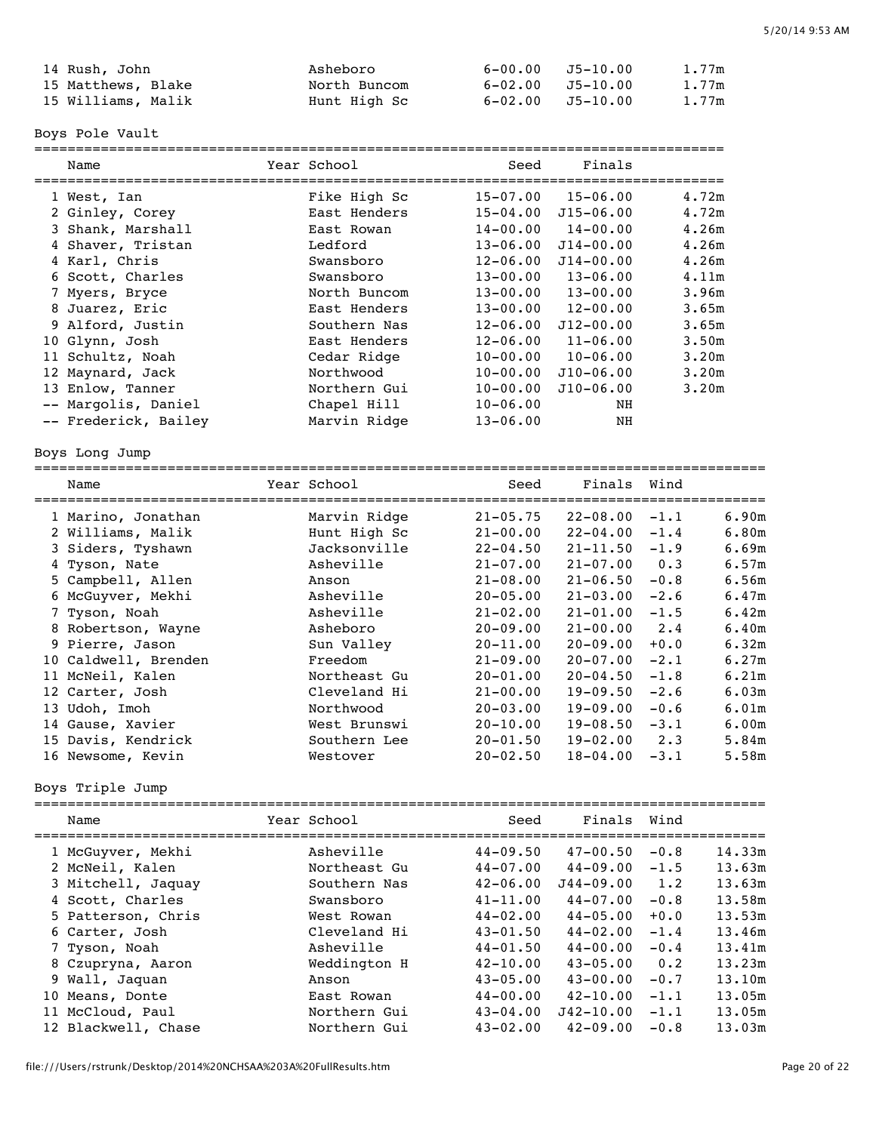| 14 Rush, John      | Asheboro     |                  | 6-00.00 J5-10.00 | 1.77m |
|--------------------|--------------|------------------|------------------|-------|
| 15 Matthews, Blake | North Buncom | 6-02.00 J5-10.00 |                  | 1.77m |
| 15 Williams, Malik | Hunt High Sc |                  | 6-02.00 J5-10.00 | 1.77m |

Boys Pole Vault

|   |                                |              |              | =================  |                |                |
|---|--------------------------------|--------------|--------------|--------------------|----------------|----------------|
|   | Name                           | Year School  | Seed         | Finals<br>________ | ______________ |                |
|   |                                | Fike High Sc | $15 - 07.00$ | $15 - 06.00$       |                | 4.72m          |
|   | 1 West, Ian<br>2 Ginley, Corey | East Henders | $15 - 04.00$ | $J15 - 06.00$      |                | 4.72m          |
|   | 3 Shank, Marshall              | East Rowan   | $14 - 00.00$ | $14 - 00.00$       |                | 4.26m          |
|   | 4 Shaver, Tristan              | Ledford      | $13 - 06.00$ | $J14 - 00.00$      |                | 4.26m          |
|   | 4 Karl, Chris                  | Swansboro    | $12 - 06.00$ | $J14 - 00.00$      |                | 4.26m          |
|   | 6 Scott, Charles               | Swansboro    | $13 - 00.00$ | $13 - 06.00$       |                | 4.11m          |
|   | 7 Myers, Bryce                 | North Buncom | $13 - 00.00$ | $13 - 00.00$       |                | 3.96m          |
|   | 8 Juarez, Eric                 | East Henders | $13 - 00.00$ | $12 - 00.00$       |                | 3.65m          |
|   | 9 Alford, Justin               | Southern Nas | $12 - 06.00$ | $J12 - 00.00$      |                | 3.65m          |
|   | 10 Glynn, Josh                 | East Henders | $12 - 06.00$ | $11 - 06.00$       |                | 3.50m          |
|   | 11 Schultz, Noah               | Cedar Ridge  | $10 - 00.00$ | $10 - 06.00$       |                | 3.20m          |
|   | 12 Maynard, Jack               | Northwood    | $10 - 00.00$ | $J10 - 06.00$      |                | 3.20m          |
|   | 13 Enlow, Tanner               | Northern Gui | $10 - 00.00$ | $J10 - 06.00$      |                | 3.20m          |
|   | -- Margolis, Daniel            | Chapel Hill  | $10 - 06.00$ | NH                 |                |                |
|   | -- Frederick, Bailey           | Marvin Ridge | $13 - 06.00$ | NH                 |                |                |
|   |                                |              |              |                    |                |                |
|   | Boys Long Jump                 |              |              |                    |                |                |
|   | Name                           | Year School  | Seed         | Finals             | Wind           |                |
|   |                                |              |              |                    |                |                |
|   | 1 Marino, Jonathan             | Marvin Ridge | $21 - 05.75$ | $22 - 08.00$       | $-1.1$         | 6.90m<br>6.80m |
|   | 2 Williams, Malik              | Hunt High Sc | $21 - 00.00$ | $22 - 04.00$       | $-1.4$         |                |
|   | 3 Siders, Tyshawn              | Jacksonville | $22 - 04.50$ | $21 - 11.50$       | $-1.9$         | 6.69m          |
|   | 4 Tyson, Nate                  | Asheville    | $21 - 07.00$ | $21 - 07.00$       | 0.3            | 6.57m          |
|   | 5 Campbell, Allen              | Anson        | $21 - 08.00$ | $21 - 06.50$       | $-0.8$         | 6.56m          |
|   | 6 McGuyver, Mekhi              | Asheville    | $20 - 05.00$ | $21 - 03.00$       | $-2.6$         | 6.47m          |
|   | 7 Tyson, Noah                  | Asheville    | $21 - 02.00$ | $21 - 01.00$       | $-1.5$         | 6.42m          |
|   | 8 Robertson, Wayne             | Asheboro     | $20 - 09.00$ | $21 - 00.00$       | 2.4            | 6.40m          |
|   | 9 Pierre, Jason                | Sun Valley   | $20 - 11.00$ | $20 - 09.00$       | $+0.0$         | 6.32m          |
|   | 10 Caldwell, Brenden           | Freedom      | $21 - 09.00$ | $20 - 07.00$       | $-2.1$         | 6.27m          |
|   | 11 McNeil, Kalen               | Northeast Gu | $20 - 01.00$ | $20 - 04.50$       | $-1.8$         | 6.21m          |
|   | 12 Carter, Josh                | Cleveland Hi | $21 - 00.00$ | $19 - 09.50$       | $-2.6$         | 6.03m          |
|   | 13 Udoh, Imoh                  | Northwood    | $20 - 03.00$ | $19 - 09.00$       | $-0.6$         | 6.01m          |
|   | 14 Gause, Xavier               | West Brunswi | $20 - 10.00$ | $19 - 08.50$       | $-3.1$         | 6.00m          |
|   | 15 Davis, Kendrick             | Southern Lee | $20 - 01.50$ | $19 - 02.00$       | 2.3            | 5.84m          |
|   | 16 Newsome, Kevin              | Westover     | $20 - 02.50$ | $18 - 04.00$       | $-3.1$         | 5.58m          |
|   | Boys Triple Jump               |              |              |                    |                |                |
|   | Name                           | Year School  | Seed         | Finals             | Wind           |                |
|   |                                |              |              |                    |                |                |
|   | 1 McGuyver, Mekhi              | Asheville    | $44 - 09.50$ | $47 - 00.50$       | $-0.8$         | 14.33m         |
|   | 2 McNeil, Kalen                | Northeast Gu | $44 - 07.00$ | $44 - 09.00$       | $-1.5$         | 13.63m         |
|   | 3 Mitchell, Jaquay             | Southern Nas | $42 - 06.00$ | $J44 - 09.00$      | 1.2            | 13.63m         |
|   | 4 Scott, Charles               | Swansboro    | $41 - 11.00$ | $44 - 07.00$       | $-0.8$         | 13.58m         |
|   | 5 Patterson, Chris             | West Rowan   | $44 - 02.00$ | $44 - 05.00$       | $+0.0$         | 13.53m         |
|   | 6 Carter, Josh                 | Cleveland Hi | $43 - 01.50$ | $44 - 02.00$       | $-1.4$         | 13.46m         |
| 7 | Tyson, Noah                    | Asheville    | $44 - 01.50$ | $44 - 00.00$       | $-0.4$         | 13.41m         |
|   | 8 Czupryna, Aaron              | Weddington H | $42 - 10.00$ | $43 - 05.00$       | 0.2            | 13.23m         |
|   | 9 Wall, Jaquan                 | Anson        | $43 - 05.00$ | $43 - 00.00$       | $-0.7$         | 13.10m         |
|   | 10 Means, Donte                | East Rowan   | $44 - 00.00$ | $42 - 10.00$       | $-1.1$         | 13.05m         |
|   | 11 McCloud, Paul               | Northern Gui | $43 - 04.00$ | $J42 - 10.00$      | $-1.1$         | 13.05m         |
|   | 12 Blackwell, Chase            | Northern Gui | $43 - 02.00$ | $42 - 09.00$       | $-0.8$         | 13.03m         |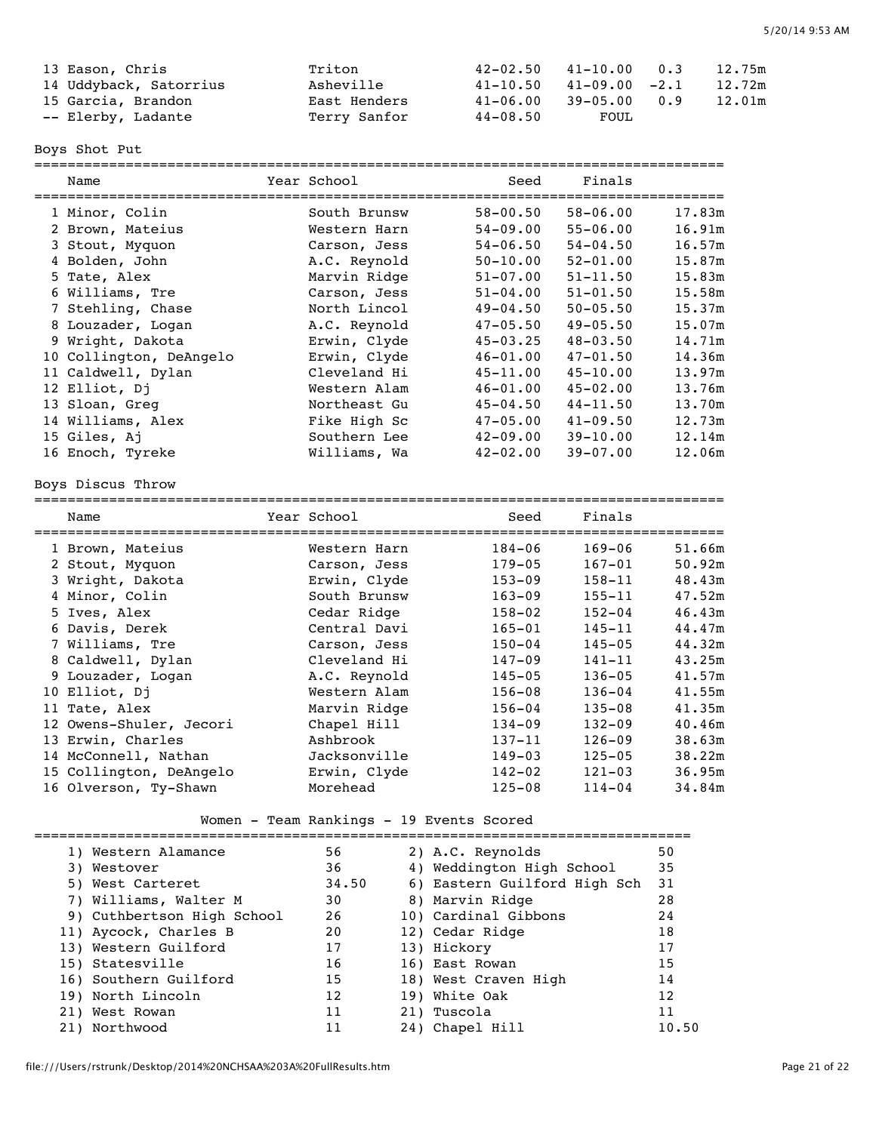| 13 Eason, Chris        | Triton       |          | $42-02.50$ $41-10.00$ 0.3    |     | 12.75m |
|------------------------|--------------|----------|------------------------------|-----|--------|
| 14 Uddyback, Satorrius | Asheville    |          | $41-10.50$ $41-09.00$ $-2.1$ |     | 12.72m |
| 15 Garcia, Brandon     | East Henders | 41-06.00 | 39-05.00                     | 0.9 | 12.01m |
| -- Elerby, Ladante     | Terry Sanfor | 44-08.50 | FOUL                         |     |        |

Boys Shot Put

| Name                    | Year School  | Seed         | Finals       |        |
|-------------------------|--------------|--------------|--------------|--------|
| 1 Minor, Colin          | South Brunsw | 58-00.50     | $58 - 06.00$ | 17.83m |
| 2 Brown, Mateius        | Western Harn | $54 - 09.00$ | $55 - 06.00$ | 16.91m |
| 3 Stout, Myquon         | Carson, Jess | $54 - 06.50$ | $54 - 04.50$ | 16.57m |
| 4 Bolden, John          | A.C. Reynold | $50 - 10.00$ | $52 - 01.00$ | 15.87m |
| 5 Tate, Alex            | Marvin Ridge | $51 - 07.00$ | $51 - 11.50$ | 15.83m |
| 6 Williams, Tre         | Carson, Jess | $51 - 04.00$ | $51 - 01.50$ | 15.58m |
| 7 Stehling, Chase       | North Lincol | $49 - 04.50$ | $50 - 05.50$ | 15.37m |
| 8 Louzader, Logan       | A.C. Reynold | $47 - 05.50$ | $49 - 05.50$ | 15.07m |
| 9 Wright, Dakota        | Erwin, Clyde | $45 - 03.25$ | $48 - 03.50$ | 14.71m |
| 10 Collington, DeAngelo | Erwin, Clyde | $46 - 01.00$ | $47 - 01.50$ | 14.36m |
| 11 Caldwell, Dylan      | Cleveland Hi | $45 - 11.00$ | $45 - 10.00$ | 13.97m |
| 12 Elliot, Dj           | Western Alam | $46 - 01.00$ | $45 - 02.00$ | 13.76m |
| 13 Sloan, Greq          | Northeast Gu | $45 - 04.50$ | $44 - 11.50$ | 13.70m |
| 14 Williams, Alex       | Fike High Sc | $47 - 05.00$ | $41 - 09.50$ | 12.73m |
| 15 Giles, Aj            | Southern Lee | $42 - 09.00$ | $39 - 10.00$ | 12.14m |
| 16 Enoch, Tyreke        | Williams, Wa | $42 - 02.00$ | $39 - 07.00$ | 12.06m |
|                         |              |              |              |        |

## Boys Discus Throw

| Name                    | Year School  | Seed       | Finals     |        |
|-------------------------|--------------|------------|------------|--------|
| 1 Brown, Mateius        | Western Harn | $184 - 06$ | $169 - 06$ | 51.66m |
| 2 Stout, Myquon         | Carson, Jess | $179 - 05$ | $167 - 01$ | 50.92m |
| 3 Wright, Dakota        | Erwin, Clyde | $153 - 09$ | $158 - 11$ | 48.43m |
| 4 Minor, Colin          | South Brunsw | $163 - 09$ | $155 - 11$ | 47.52m |
| 5 Ives, Alex            | Cedar Ridge  | $158 - 02$ | $152 - 04$ | 46.43m |
| 6 Davis, Derek          | Central Davi | $165 - 01$ | 145-11     | 44.47m |
| 7 Williams, Tre         | Carson, Jess | $150 - 04$ | $145 - 05$ | 44.32m |
| 8 Caldwell, Dylan       | Cleveland Hi | $147 - 09$ | $141 - 11$ | 43.25m |
| 9 Louzader, Logan       | A.C. Reynold | $145 - 05$ | $136 - 05$ | 41.57m |
| 10 Elliot, Dj           | Western Alam | $156 - 08$ | $136 - 04$ | 41.55m |
| 11 Tate, Alex           | Marvin Ridge | $156 - 04$ | $135 - 08$ | 41.35m |
| 12 Owens-Shuler, Jecori | Chapel Hill  | $134 - 09$ | $132 - 09$ | 40.46m |
| 13 Erwin, Charles       | Ashbrook     | $137 - 11$ | $126 - 09$ | 38.63m |
| 14 McConnell, Nathan    | Jacksonville | $149 - 03$ | $125 - 05$ | 38.22m |
| 15 Collington, DeAngelo | Erwin, Clyde | $142 - 02$ | $121 - 03$ | 36.95m |
| 16 Olverson, Ty-Shawn   | Morehead     | $125 - 08$ | $114 - 04$ | 34.84m |

# Women - Team Rankings - 19 Events Scored

| 1) Western Alamance        | 56    | 2) A.C. Reynolds             | 50    |
|----------------------------|-------|------------------------------|-------|
| 3) Westover                | 36    | 4) Weddington High School    | 35    |
| 5) West Carteret           | 34.50 | 6) Eastern Guilford High Sch | 31    |
| 7) Williams, Walter M      | 30    | 8) Marvin Ridge              | 28    |
| 9) Cuthbertson High School | 26    | 10) Cardinal Gibbons         | 24    |
| 11) Aycock, Charles B      | 20    | 12) Cedar Ridge              | 18    |
| 13) Western Guilford       | 17    | 13) Hickory                  | 17    |
| 15) Statesville            | 16    | 16) East Rowan               | 15    |
| 16) Southern Guilford      | 15    | 18) West Craven High         | 14    |
| 19) North Lincoln          | 12    | 19) White Oak                | 12    |
| 21) West Rowan             | 11    | 21) Tuscola                  | 11    |
| 21) Northwood              | 11    | 24) Chapel Hill              | 10.50 |
|                            |       |                              |       |